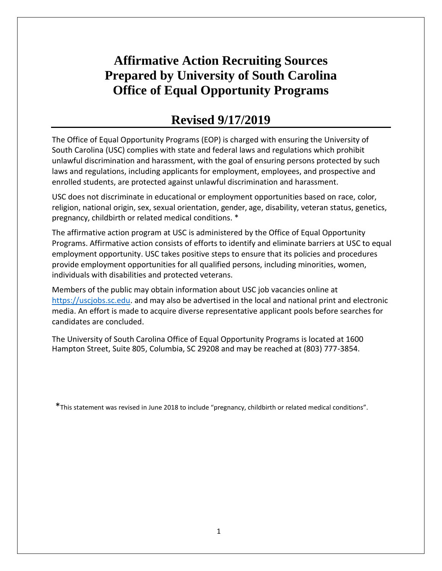# **Affirmative Action Recruiting Sources Prepared by University of South Carolina Office of Equal Opportunity Programs**

# **Revised 9/17/2019**

The Office of Equal Opportunity Programs (EOP) is charged with ensuring the University of South Carolina (USC) complies with state and federal laws and regulations which prohibit unlawful discrimination and harassment, with the goal of ensuring persons protected by such laws and regulations, including applicants for employment, employees, and prospective and enrolled students, are protected against unlawful discrimination and harassment.

USC does not discriminate in educational or employment opportunities based on race, color, religion, national origin, sex, sexual orientation, gender, age, disability, veteran status, genetics, pregnancy, childbirth or related medical conditions. \*

The affirmative action program at USC is administered by the Office of Equal Opportunity Programs. Affirmative action consists of efforts to identify and eliminate barriers at USC to equal employment opportunity. USC takes positive steps to ensure that its policies and procedures provide employment opportunities for all qualified persons, including minorities, women, individuals with disabilities and protected veterans.

Members of the public may obtain information about USC job vacancies online at [https://uscjobs.sc.edu.](https://uscjobs.sc.edu/) and may also be advertised in the local and national print and electronic media. An effort is made to acquire diverse representative applicant pools before searches for candidates are concluded.

The University of South Carolina Office of Equal Opportunity Programs is located at 1600 Hampton Street, Suite 805, Columbia, SC 29208 and may be reached at (803) 777-3854.

\*This statement was revised in June 2018 to include "pregnancy, childbirth or related medical conditions".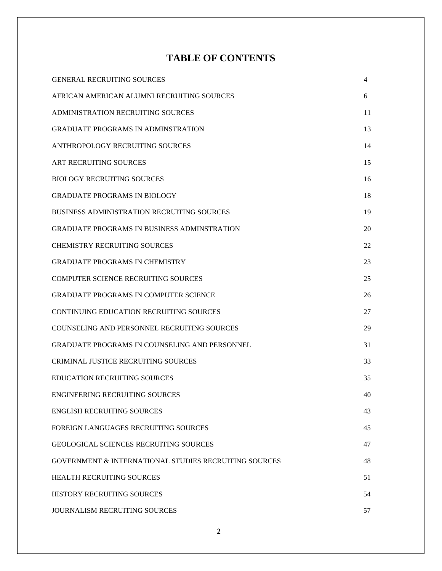## **TABLE OF CONTENTS**

| <b>GENERAL RECRUITING SOURCES</b>                                | 4  |
|------------------------------------------------------------------|----|
| AFRICAN AMERICAN ALUMNI RECRUITING SOURCES                       | 6  |
| ADMINISTRATION RECRUITING SOURCES                                | 11 |
| <b>GRADUATE PROGRAMS IN ADMINSTRATION</b>                        | 13 |
| ANTHROPOLOGY RECRUITING SOURCES                                  | 14 |
| ART RECRUITING SOURCES                                           | 15 |
| <b>BIOLOGY RECRUITING SOURCES</b>                                | 16 |
| <b>GRADUATE PROGRAMS IN BIOLOGY</b>                              | 18 |
| <b>BUSINESS ADMINISTRATION RECRUITING SOURCES</b>                | 19 |
| <b>GRADUATE PROGRAMS IN BUSINESS ADMINSTRATION</b>               | 20 |
| <b>CHEMISTRY RECRUITING SOURCES</b>                              | 22 |
| <b>GRADUATE PROGRAMS IN CHEMISTRY</b>                            | 23 |
| <b>COMPUTER SCIENCE RECRUITING SOURCES</b>                       | 25 |
| <b>GRADUATE PROGRAMS IN COMPUTER SCIENCE</b>                     | 26 |
| <b>CONTINUING EDUCATION RECRUITING SOURCES</b>                   | 27 |
| COUNSELING AND PERSONNEL RECRUITING SOURCES                      | 29 |
| GRADUATE PROGRAMS IN COUNSELING AND PERSONNEL                    | 31 |
| <b>CRIMINAL JUSTICE RECRUITING SOURCES</b>                       | 33 |
| <b>EDUCATION RECRUITING SOURCES</b>                              | 35 |
| ENGINEERING RECRUITING SOURCES                                   | 40 |
| <b>ENGLISH RECRUITING SOURCES</b>                                | 43 |
| <b>FOREIGN LANGUAGES RECRUITING SOURCES</b>                      | 45 |
| <b>GEOLOGICAL SCIENCES RECRUITING SOURCES</b>                    | 47 |
| <b>GOVERNMENT &amp; INTERNATIONAL STUDIES RECRUITING SOURCES</b> | 48 |
| <b>HEALTH RECRUITING SOURCES</b>                                 | 51 |
| <b>HISTORY RECRUITING SOURCES</b>                                | 54 |
| <b>JOURNALISM RECRUITING SOURCES</b>                             | 57 |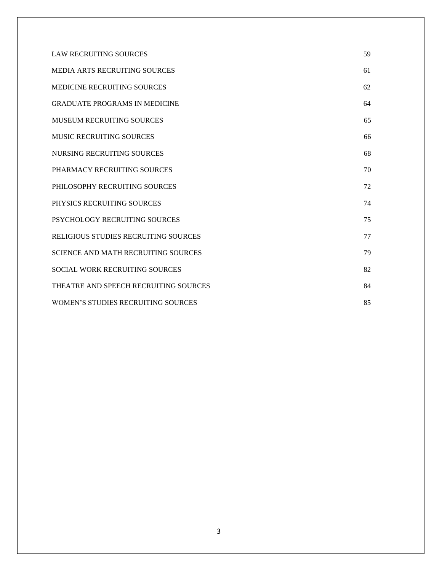| <b>LAW RECRUITING SOURCES</b>              | 59 |
|--------------------------------------------|----|
| <b>MEDIA ARTS RECRUITING SOURCES</b>       | 61 |
| <b>MEDICINE RECRUITING SOURCES</b>         | 62 |
| <b>GRADUATE PROGRAMS IN MEDICINE</b>       | 64 |
| MUSEUM RECRUITING SOURCES                  | 65 |
| <b>MUSIC RECRUITING SOURCES</b>            | 66 |
| NURSING RECRUITING SOURCES                 | 68 |
| PHARMACY RECRUITING SOURCES                | 70 |
| PHILOSOPHY RECRUITING SOURCES              | 72 |
| PHYSICS RECRUITING SOURCES                 | 74 |
| PSYCHOLOGY RECRUITING SOURCES              | 75 |
| RELIGIOUS STUDIES RECRUITING SOURCES       | 77 |
| <b>SCIENCE AND MATH RECRUITING SOURCES</b> | 79 |
| <b>SOCIAL WORK RECRUITING SOURCES</b>      | 82 |
| THEATRE AND SPEECH RECRUITING SOURCES      | 84 |
| <b>WOMEN'S STUDIES RECRUITING SOURCES</b>  | 85 |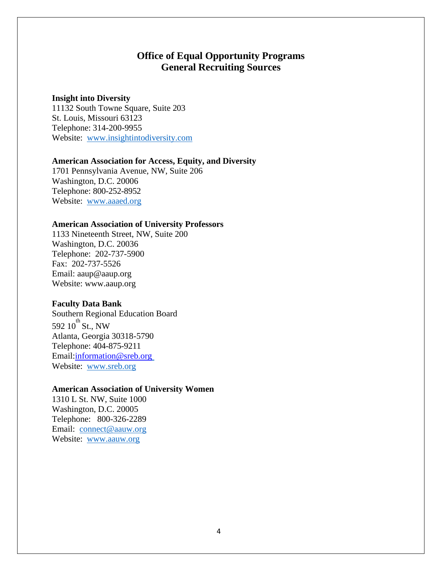## **Office of Equal Opportunity Programs General Recruiting Sources**

### **Insight into Diversity**

11132 South Towne Square, Suite 203 St. Louis, Missouri 63123 Telephone: 314-200-9955 Website: [www.insightintodiversity.com](http://www.insightintodiversity.com/)

### **American Association for Access, Equity, and Diversity**

1701 Pennsylvania Avenue, NW, Suite 206 Washington, D.C. 20006 Telephone: 800-252-8952 Website: [www.aaaed.org](http://www.aaaed.org/)

### **American Association of University Professors**

1133 Nineteenth Street, NW, Suite 200 Washington, D.C. 20036 Telephone: 202-737-5900 Fax: 202-737-5526 Email: [aaup@aaup.org](mailto:aaup@aaup.org) Website: [www.aaup.org](http://www.aaup.org/)

## **Faculty Data Bank**

Southern Regional Education Board 592  $10^{th}$  St., NW Atlanta, Georgia 30318-5790 Telephone: 404-875-9211 Email[:information@sreb.org](mailto:information@sreb.org) Website: [www.sreb.org](http://www.sreb.org/)

### **American Association of University Women**

1310 L St. NW, Suite 1000 Washington, D.C. 20005 Telephone: 800-326-2289 Email: [connect@aauw.org](mailto:connect@aauw.org) Website: [www.aauw.org](http://www.aauw.org/)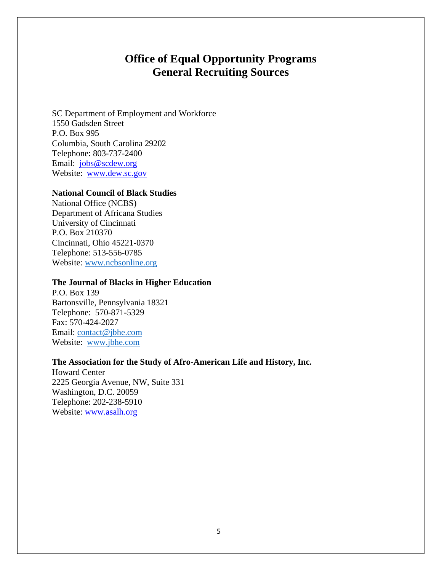## **Office of Equal Opportunity Programs General Recruiting Sources**

SC Department of Employment and Workforce 1550 Gadsden Street P.O. Box 995 Columbia, South Carolina 29202 Telephone: 803-737-2400 Email: [jobs@scdew.org](mailto:jobs@scdew.org) Website: [www.dew.sc.gov](http://www.dew.sc.gov/)

#### **National Council of Black Studies**

National Office (NCBS) Department of Africana Studies University of Cincinnati P.O. Box 210370 Cincinnati, Ohio 45221-0370 Telephone: 513-556-0785 Website: [www.ncbsonline.org](http://www.ncbsonline.org/)

#### **The Journal of Blacks in Higher Education**

P.O. Box 139 Bartonsville, Pennsylvania 18321 Telephone: 570-871-5329 Fax: 570-424-2027 Email: [contact@jbhe.com](mailto:contact@jbhe.com) Website: [www.jbhe.com](http://www.jbhe.com/)

### **The Association for the Study of Afro-American Life and History, Inc.**

Howard Center 2225 Georgia Avenue, NW, Suite 331 Washington, D.C. 20059 Telephone: 202-238-5910 Website: [www.asalh.org](http://www.asalh.org/)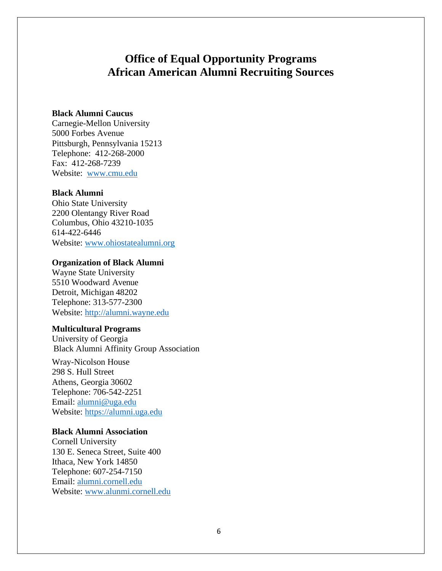#### **Black Alumni Caucus**

Carnegie-Mellon University 5000 Forbes Avenue Pittsburgh, Pennsylvania 15213 Telephone: 412-268-2000 Fax: 412-268-7239 Website: [www.cmu.edu](http://www.cmu.edu/)

#### **Black Alumni**

Ohio State University 2200 Olentangy River Road Columbus, Ohio 43210-1035 614-422-6446 Website: [www.ohiostatealumni.org](http://www.ohiostatealumni.org/)

#### **Organization of Black Alumni**

Wayne State University 5510 Woodward Avenue Detroit, Michigan 48202 Telephone: 313-577-2300 Website: [http://alumni.wayne.edu](http://alumni.wayne.edu/)

#### **Multicultural Programs**

University of Georgia Black Alumni Affinity Group Association

Wray-Nicolson House 298 S. Hull Street Athens, Georgia 30602 Telephone: 706-542-2251 Email: [alumni@uga.edu](mailto:alumni@uga.edu) Website: [https://alumni.uga.edu](https://alumni.uga.edu/)

#### **Black Alumni Association**

Cornell University 130 E. Seneca Street, Suite 400 Ithaca, New York 14850 Telephone: 607-254-7150 Email: [alumni.cornell.edu](mailto:alumniaffairs@cornell.edu) Website: [www.alunmi.cornell.edu](http://www.alunmi.cornell.edu/)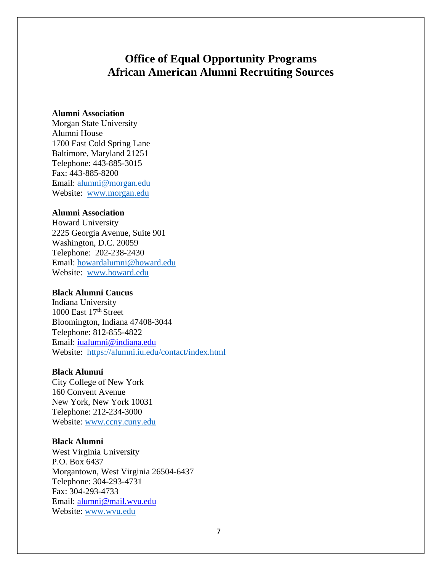#### **Alumni Association**

Morgan State University Alumni House 1700 East Cold Spring Lane Baltimore, Maryland 21251 Telephone: 443-885-3015 Fax: 443-885-8200 Email: [alumni@morgan.edu](mailto:alumni@morgan.edu) Website: [www.morgan.edu](http://www.morgan.edu/)

#### **Alumni Association**

Howard University 2225 Georgia Avenue, Suite 901 Washington, D.C. 20059 Telephone: 202-238-2430 Email: [howardalumni@howard.edu](mailto:howardalumni@howard.edu) Website: [www.howard.edu](http://www.howard.edu/)

#### **Black Alumni Caucus**

Indiana University 1000 East  $17<sup>th</sup>$  Street Bloomington, Indiana 47408-3044 Telephone: 812-855-4822 Email: [iualumni@indiana.edu](mailto:iualumni@indiana.edu) Website: <https://alumni.iu.edu/contact/index.html>

#### **Black Alumni**

City College of New York 160 Convent Avenue New York, New York 10031 Telephone: 212-234-3000 Website: [www.ccny.cuny.edu](http://www.ccny.cuny.edu/)

#### **Black Alumni**

West Virginia University P.O. Box 6437 Morgantown, West Virginia 26504-6437 Telephone: 304-293-4731 Fax: 304-293-4733 Email: [alumni@mail.wvu.edu](mailto:alumni@mail.wvu.edu) Website: [www.wvu.edu](http://www.wvu.edu/)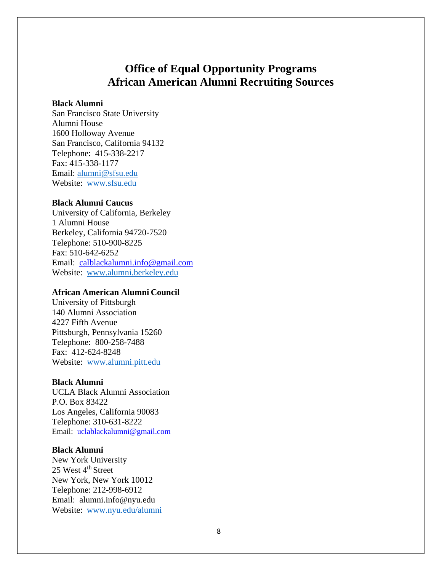### **Black Alumni**

San Francisco State University Alumni House 1600 Holloway Avenue San Francisco, California 94132 Telephone: 415-338-2217 Fax: 415-338-1177 Email: [alumni@sfsu.edu](mailto:alumni@sfsu.edu) Website: [www.sfsu.edu](http://www.sfsu.edu/)

### **Black Alumni Caucus**

University of California, Berkeley 1 Alumni House Berkeley, California 94720-7520 Telephone: 510-900-8225 Fax: 510-642-6252 Email: [calblackalumni.info@gmail.com](mailto:calblackalumni.info@gmail.com) Website: [www.alumni.berkeley.edu](http://www.alumni.berkeley.edu/)

#### **African American Alumni Council**

University of Pittsburgh 140 Alumni Association 4227 Fifth Avenue Pittsburgh, Pennsylvania 15260 Telephone: 800-258-7488 Fax: 412-624-8248 Website: [www.alumni.pitt.edu](http://www.alumni.pitt.edu/)

#### **Black Alumni**

UCLA Black Alumni Association P.O. Box 83422 Los Angeles, California 90083 Telephone: 310-631-8222 Email: [uclablackalumni@gmail.com](mailto:uclablackalumni@gmail.com)

#### **Black Alumni**

New York University 25 West 4<sup>th</sup> Street New York, New York 10012 Telephone: 212-998-6912 Email: alumni.info@nyu.edu Website: [www.nyu.edu/alumni](http://www.nyu.edu/alumni)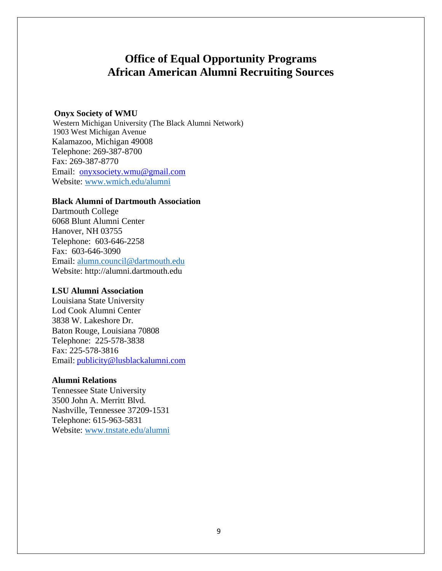#### **Onyx Society of WMU**

 Western Michigan University (The Black Alumni Network) 1903 West Michigan Avenue Kalamazoo, Michigan 49008 Telephone: 269-387-8700 Fax: 269-387-8770 Email: [onyxsociety.wmu@gmail.com](mailto:onyxsociety.wmu@gmail.com) Website: [www.wmich.edu/alumni](http://www.wmich.edu/alumni)

#### **Black Alumni of Dartmouth Association**

Dartmouth College 6068 Blunt Alumni Center Hanover, NH 03755 Telephone: 603-646-2258 Fax: 603-646-3090 Email: alumn.council@dartmouth.edu Websit[e: http://alumni.dartmouth.edu](http://alumni.dartmouth.edu/)

#### **LSU Alumni Association**

Louisiana State University Lod Cook Alumni Center 3838 W. Lakeshore Dr. Baton Rouge, Louisiana 70808 Telephone: 225-578-3838 Fax: 225-578-3816 Email: [publicity@lusblackalumni.com](mailto:publicity@lusblackalumni.com)

#### **Alumni Relations**

Tennessee State University 3500 John A. Merritt Blvd. Nashville, Tennessee 37209-1531 Telephone: 615-963-5831 Website: [www.tnstate.edu/alumni](http://www.tnstate.edu/alumni)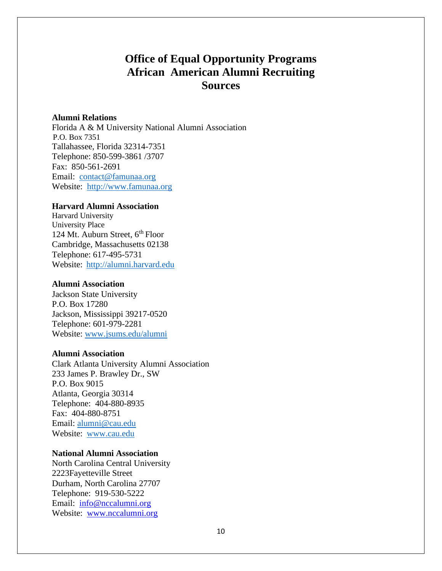#### **Alumni Relations**

Florida A & M University National Alumni Association P.O. Box 7351 Tallahassee, Florida 32314-7351 Telephone: 850-599-3861 /3707 Fax: 850-561-2691 Email: [contact@famunaa.org](mailto:contact@famunaa.org) Website: [http://www.famunaa.org](http://www.famunaa.org/)

### **Harvard Alumni Association**

Harvard University University Place 124 Mt. Auburn Street, 6<sup>th</sup> Floor Cambridge, Massachusetts 02138 Telephone: 617-495-5731 Website: [http://alumni.harvard.edu](http://alumni.harvard.edu/)

#### **Alumni Association**

Jackson State University P.O. Box 17280 Jackson, Mississippi 39217-0520 Telephone: 601-979-2281 Website: [www.jsums.edu/alumni](http://www.jsums.edu/alumni)

#### **Alumni Association**

Clark Atlanta University Alumni Association 233 James P. Brawley Dr., SW P.O. Box 9015 Atlanta, Georgia 30314 Telephone: 404-880-8935 Fax: 404-880-8751 Email: [alumni@cau.edu](mailto:alumni@cau.edu) Website: [www.cau.edu](http://www.cau.edu/)

#### **National Alumni Association**

North Carolina Central University 2223Fayetteville Street Durham, North Carolina 27707 Telephone: 919-530-5222 Email: [info@nccalumni.org](mailto:info@nccalumni.org) Website: [www.nccalumni.org](http://www.nccalumni.org/)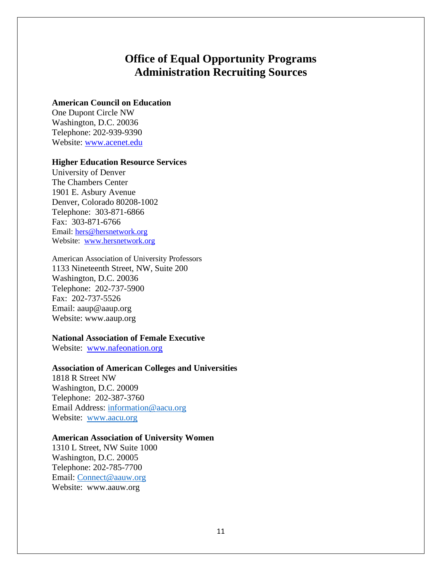## **Office of Equal Opportunity Programs Administration Recruiting Sources**

#### **American Council on Education**

One Dupont Circle NW Washington, D.C. 20036 Telephone: 202-939-9390 Website: [www.acenet.edu](http://www.acenet.edu/)

### **Higher Education Resource Services**

University of Denver The Chambers Center 1901 E. Asbury Avenue Denver, Colorado 80208-1002 Telephone: 303-871-6866 Fax: 303-871-6766 Email: [hers@hersnetwork.org](mailto:hers@hersnetwork.org) Website: [www.hersnetwork.org](http://www.hersnetwork.org/)

American Association of University Professors 1133 Nineteenth Street, NW, Suite 200 Washington, D.C. 20036 Telephone: 202-737-5900 Fax: 202-737-5526 Email: [aaup@aaup.org](mailto:aaup@aaup.org) Website: [www.aaup.org](http://www.aaup.org/)

## **National Association of Female Executive**

Website: [www.nafeonation.org](http://www.nafeonation.org/)

#### **Association of American Colleges and Universities**

1818 R Street NW Washington, D.C. 20009 Telephone: 202-387-3760 Email Address: [information@aacu.org](mailto:information@aacu.org) Website: [www.aacu.org](http://www.aacu.org/)

#### **American Association of University Women**

1310 L Street, NW Suite 1000 Washington, D.C. 20005 Telephone: 202-785-7700 Email: [Connect@aauw.org](mailto:Connect@aauw.org) Website: [www.aauw.org](http://www.aauw.org/)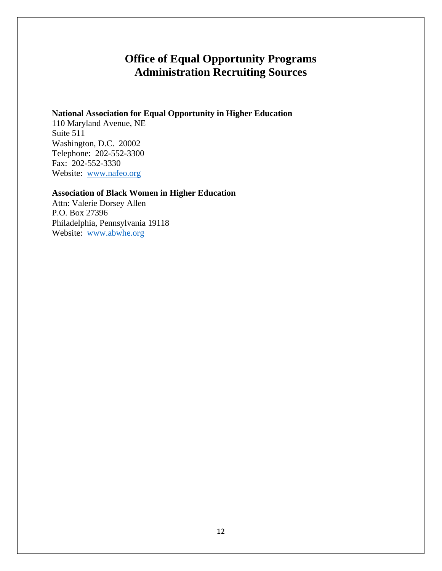# **Office of Equal Opportunity Programs Administration Recruiting Sources**

## **National Association for Equal Opportunity in Higher Education**

110 Maryland Avenue, NE Suite 511 Washington, D.C. 20002 Telephone: 202-552-3300 Fax: 202-552-3330 Website: [www.nafeo.org](http://www.nafeo.org/)

## **Association of Black Women in Higher Education**

Attn: Valerie Dorsey Allen P.O. Box 27396 Philadelphia, Pennsylvania 19118 Website: [www.abwhe.org](http://www.abwhe.org/)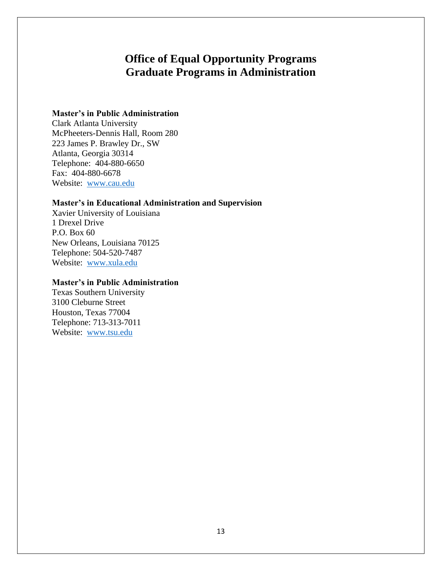## **Office of Equal Opportunity Programs Graduate Programs in Administration**

### **Master's in Public Administration**

Clark Atlanta University McPheeters-Dennis Hall, Room 280 223 James P. Brawley Dr., SW Atlanta, Georgia 30314 Telephone: 404-880-6650 Fax: 404-880-6678 Website: [www.cau.edu](http://www.cau.edu/)

### **Master's in Educational Administration and Supervision**

Xavier University of Louisiana 1 Drexel Drive P.O. Box 60 New Orleans, Louisiana 70125 Telephone: 504-520-7487 Website: [www.xula.edu](http://www.xula.edu/)

### **Master's in Public Administration**

Texas Southern University 3100 Cleburne Street Houston, Texas 77004 Telephone: 713-313-7011 Website: [www.tsu.edu](http://www.tsu.edu/)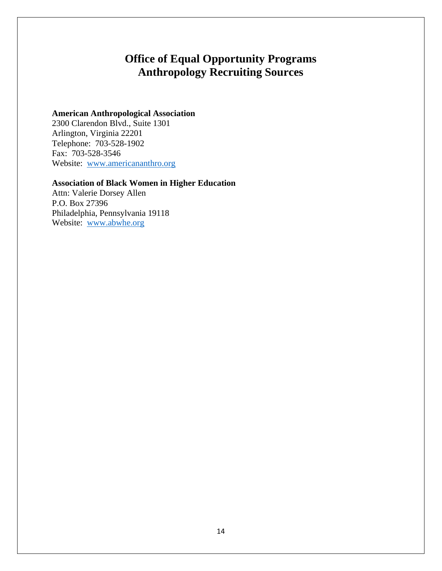# **Office of Equal Opportunity Programs Anthropology Recruiting Sources**

## **American Anthropological Association**

2300 Clarendon Blvd., Suite 1301 Arlington, Virginia 22201 Telephone: 703-528-1902 Fax: 703-528-3546 Website: [www.americananthro.org](http://www.americananthro.org/)

## **Association of Black Women in Higher Education**

Attn: Valerie Dorsey Allen P.O. Box 27396 Philadelphia, Pennsylvania 19118 Website: [www.abwhe.org](http://www.abwhe.org/)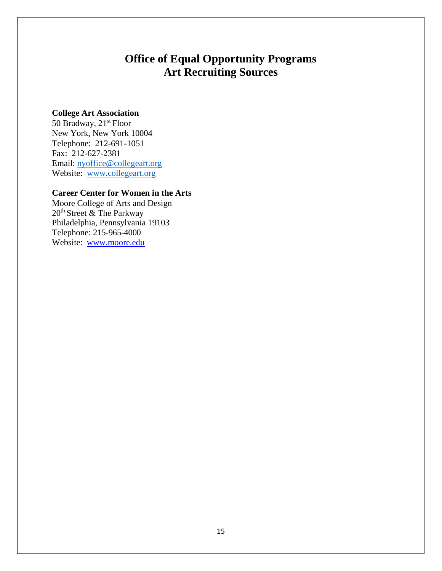# **Office of Equal Opportunity Programs Art Recruiting Sources**

### **College Art Association**

50 Bradway, 21<sup>st</sup> Floor New York, New York 10004 Telephone: 212-691-1051 Fax: 212-627-2381 Email: [nyoffice@collegeart.org](mailto:nyoffice@collegeart.org) Website: [www.collegeart.org](http://www.collegeart.org/)

## **Career Center for Women in the Arts**

Moore College of Arts and Design 20<sup>th</sup> Street & The Parkway Philadelphia, Pennsylvania 19103 Telephone: 215-965-4000 Website: [www.moore.edu](http://www.moore.edu/)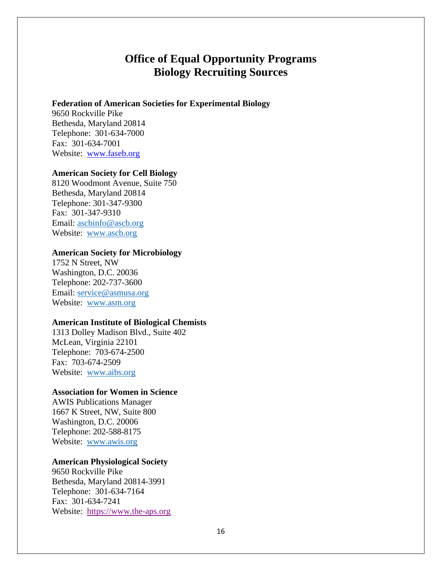## **Office of Equal Opportunity Programs Biology Recruiting Sources**

#### **Federation of American Societies for Experimental Biology**

9650 Rockville Pike Bethesda, Maryland 20814 Telephone: 301-634-7000 Fax: 301-634-7001 Website: [www.faseb.org](http://www.faseb.org/)

### **American Society for Cell Biology**

8120 Woodmont Avenue, Suite 750 Bethesda, Maryland 20814 Telephone: 301-347-9300 Fax: 301-347-9310 Email: [ascbinfo@ascb.org](mailto:ascbinfo@ascb.org) Website: [www.ascb.org](http://www.ascb.org/)

#### **American Society for Microbiology**

1752 N Street, NW Washington, D.C. 20036 Telephone: 202-737-3600 Email: [service@asmusa.org](mailto:service@asmusa.org) Website: [www.asm.org](http://www.asm.org/)

#### **American Institute of Biological Chemists**

1313 Dolley Madison Blvd., Suite 402 McLean, Virginia 22101 Telephone: 703-674-2500 Fax: 703-674-2509 Website: [www.aibs.org](http://www.aibs.org/)

#### **Association for Women in Science**

AWIS Publications Manager 1667 K Street, NW, Suite 800 Washington, D.C. 20006 Telephone: 202-588-8175 Website: [www.awis.org](http://www.awis.org/)

### **American Physiological Society**

9650 Rockville Pike Bethesda, Maryland 20814-3991 Telephone: 301-634-7164 Fax: 301-634-7241 Website: [https://www.the-aps.org](https://www.the-aps.org/)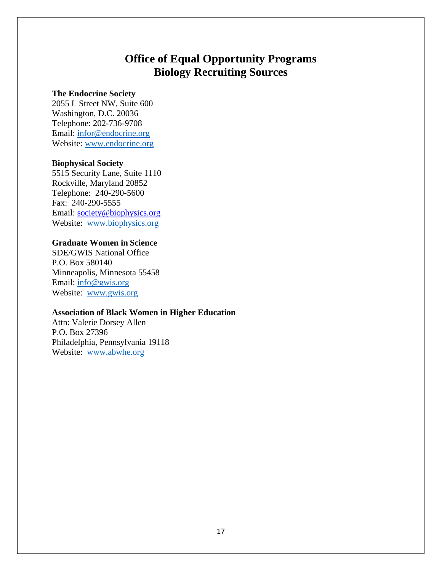## **Office of Equal Opportunity Programs Biology Recruiting Sources**

#### **The Endocrine Society**

2055 L Street NW, Suite 600 Washington, D.C. 20036 Telephone: 202-736-9708 Email: [infor@endocrine.org](mailto:infor@endocrine.org) Website: [www.endocrine.org](http://www.endocrine.org/)

### **Biophysical Society**

5515 Security Lane, Suite 1110 Rockville, Maryland 20852 Telephone: 240-290-5600 Fax: 240-290-5555 Email: [society@biophysics.org](mailto:society@biophysics.org) Website: [www.biophysics.org](http://www.biophysics.org/)

### **Graduate Women in Science**

SDE/GWIS National Office P.O. Box 580140 Minneapolis, Minnesota 55458 Email: [info@gwis.org](mailto:info@gwis.org) Website: [www.gwis.org](http://www.gwis.org/)

### **Association of Black Women in Higher Education**

Attn: Valerie Dorsey Allen P.O. Box 27396 Philadelphia, Pennsylvania 19118 Website: [www.abwhe.org](http://www.abwhe.org/)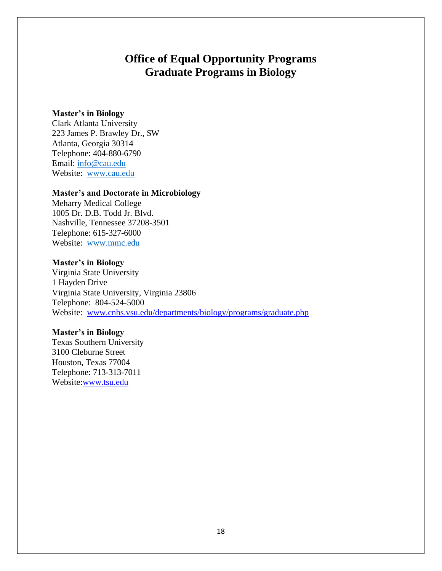## **Office of Equal Opportunity Programs Graduate Programs in Biology**

#### **Master's in Biology**

Clark Atlanta University 223 James P. Brawley Dr., SW Atlanta, Georgia 30314 Telephone: 404-880-6790 Email: [info@cau.edu](mailto:info@cau.edu) Website: [www.cau.edu](http://www.cau.edu/)

#### **Master's and Doctorate in Microbiology**

Meharry Medical College 1005 Dr. D.B. Todd Jr. Blvd. Nashville, Tennessee 37208-3501 Telephone: 615-327-6000 Website: [www.mmc.edu](http://www.mmc.edu/)

#### **Master's in Biology**

Virginia State University 1 Hayden Drive Virginia State University, Virginia 23806 Telephone: 804-524-5000 Website: [www.cnhs.vsu.edu/departments/biology/programs/graduate.php](http://www.cnhs.vsu.edu/departments/biology/programs/graduate.php)

### **Master's in Biology**

Texas Southern University 3100 Cleburne Street Houston, Texas 77004 Telephone: 713-313-7011 Website[:www.tsu.edu](http://www.tsu.edu/)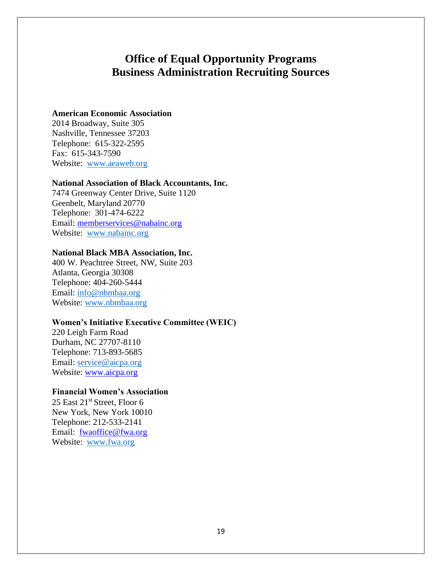## **Office of Equal Opportunity Programs Business Administration Recruiting Sources**

### **American Economic Association**

2014 Broadway, Suite 305 Nashville, Tennessee 37203 Telephone: 615-322-2595 Fax: 615-343-7590 Website: [www.aeaweb.org](http://www.aeaweb.org/)

#### **National Association of Black Accountants, Inc.**

7474 Greenway Center Drive, Suite 1120 Geenbelt, Maryland 20770 Telephone: 301-474-6222 Email: [memberservices@nabainc.org](mailto:memberservices@nabainc.org) Website: [www.nabainc.org](http://www.nabainc.org/)

### **National Black MBA Association, Inc.**

400 W. Peachtree Street, NW, Suite 203 Atlanta, Georgia 30308 Telephone: 404-260-5444 Email: [info@nbmbaa.org](mailto:info@nbmbaa.org) Website: [www.nbmbaa.org](http://www.nbmbaa.org/)

#### **Women's Initiative Executive Committee (WEIC)**

220 Leigh Farm Road Durham, NC 27707-8110 Telephone: 713-893-5685 Email: service@aicpa.org Website: [www.aicpa.org](http://www.aicpa.org/)

#### **Financial Women's Association**

25 East  $21^{st}$  Street, Floor 6 New York, New York 10010 Telephone: 212-533-2141 Email: [fwaoffice@fwa.org](mailto:fwaoffice@fwa.org) Website: [www.fwa.org](http://www.fwa.org/)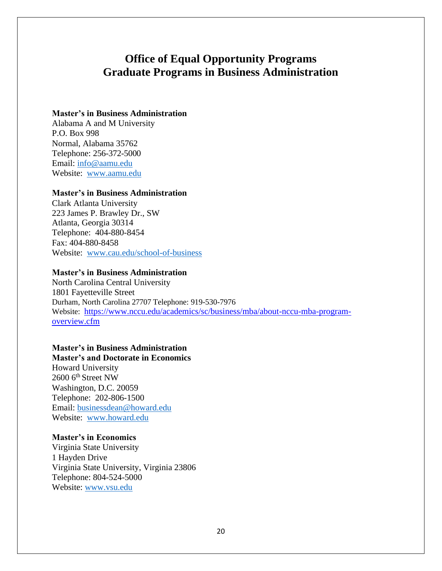## **Office of Equal Opportunity Programs Graduate Programs in Business Administration**

#### **Master's in Business Administration**

Alabama A and M University P.O. Box 998 Normal, Alabama 35762 Telephone: 256-372-5000 Email: [info@aamu.edu](mailto:info@aamu.edu) Website: [www.aamu.edu](http://www.aamu.edu/)

#### **Master's in Business Administration**

Clark Atlanta University 223 James P. Brawley Dr., SW Atlanta, Georgia 30314 Telephone: 404-880-8454 Fax: 404-880-8458 Website: [www.cau.edu/school-of-business](http://www.cau.edu/school-of-business)

#### **Master's in Business Administration**

North Carolina Central University 1801 Fayetteville Street Durham, North Carolina 27707 Telephone: 919-530-7976 Website: [https://www.nccu.edu/academics/sc/business/mba/about-nccu-mba-program](https://www.nccu.edu/academics/sc/business/mba/about-nccu-mba-program-overview.cfm)[overview.cfm](https://www.nccu.edu/academics/sc/business/mba/about-nccu-mba-program-overview.cfm)

### **Master's in Business Administration**

**Master's and Doctorate in Economics**  Howard University 2600 6<sup>th</sup> Street NW Washington, D.C. 20059 Telephone: 202-806-1500 Email: [businessdean@howard.edu](mailto:businessdean@howard.edu) Website: [www.howard.edu](http://www.howard.edu/)

#### **Master's in Economics**

Virginia State University 1 Hayden Drive Virginia State University, Virginia 23806 Telephone: 804-524-5000 Website: [www.vsu.edu](http://www.vsu.edu/)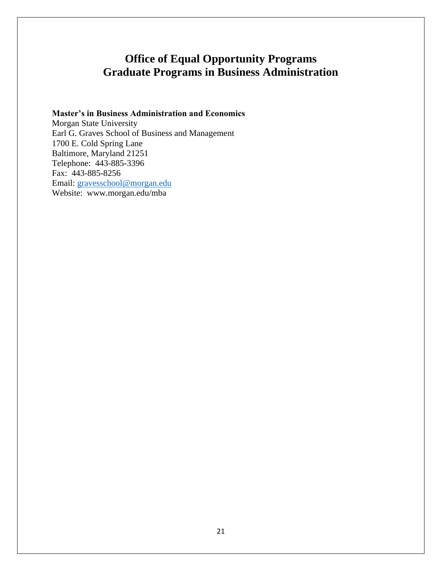# **Office of Equal Opportunity Programs Graduate Programs in Business Administration**

### **Master's in Business Administration and Economics**

Morgan State University Earl G. Graves School of Business and Management 1700 E. Cold Spring Lane Baltimore, Maryland 21251 Telephone: 443-885-3396 Fax: 443-885-8256 Email: [gravesschool@morgan.edu](mailto:gravesschool@morgan.edu) Website: [www.morgan.edu/mba](http://www.morgan.edu/mba)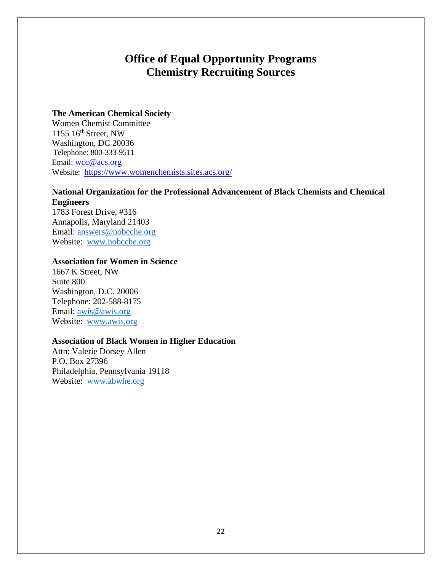## **Office of Equal Opportunity Programs Chemistry Recruiting Sources**

#### **The American Chemical Society**

Women Chemist Committee 1155 16th Street, NW Washington, DC 20036 Telephone: 800-333-9511 Email: [wcc@acs.org](mailto:wcc@acs.org) Website: <https://www.womenchemists.sites.acs.org/>

## **National Organization for the Professional Advancement of Black Chemists and Chemical Engineers**

1783 Forest Drive, #316 Annapolis, Maryland 21403 Email: [answers@nobcche.org](mailto:answers@nobcche.org) Website: [www.nobcche.org](http://www.nobcche.org/)

## **Association for Women in Science**

1667 K Street, NW Suite 800 Washington, D.C. 20006 Telephone: 202-588-8175 Email: [awis@awis.org](mailto:awis@awis.org) Website: [www.awis.org](http://www.awis.org/)

#### **Association of Black Women in Higher Education**

Attn: Valerie Dorsey Allen P.O. Box 27396 Philadelphia, Pennsylvania 19118 Website: [www.abwhe.org](http://www.abwhe.org/)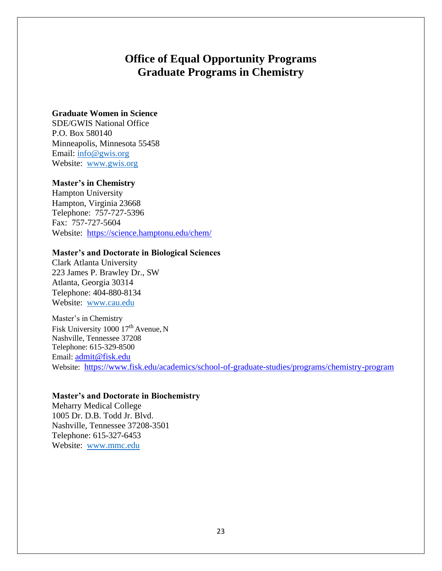## **Office of Equal Opportunity Programs Graduate Programs in Chemistry**

### **Graduate Women in Science**

SDE/GWIS National Office P.O. Box 580140 Minneapolis, Minnesota 55458 Email: [info@gwis.org](mailto:info@gwis.org) Website: [www.gwis.org](http://www.gwis.org/)

#### **Master's in Chemistry**

Hampton University Hampton, Virginia 23668 Telephone: 757-727-5396 Fax: 757-727-5604 Website: <https://science.hamptonu.edu/chem/>

#### **Master's and Doctorate in Biological Sciences**

Clark Atlanta University 223 James P. Brawley Dr., SW Atlanta, Georgia 30314 Telephone: 404-880-8134 Website: [www.cau.edu](http://www.cau.edu/)

Master's in Chemistry Fisk University 1000 17<sup>th</sup> Avenue, N Nashville, Tennessee 37208 Telephone: 615-329-8500 Email: [admit@fisk.edu](mailto:admit@fisk.edu) Website: <https://www.fisk.edu/academics/school-of-graduate-studies/programs/chemistry-program>

### **Master's and Doctorate in Biochemistry**

Meharry Medical College 1005 Dr. D.B. Todd Jr. Blvd. Nashville, Tennessee 37208-3501 Telephone: 615-327-6453 Website: [www.mmc.edu](http://www.mmc.edu/)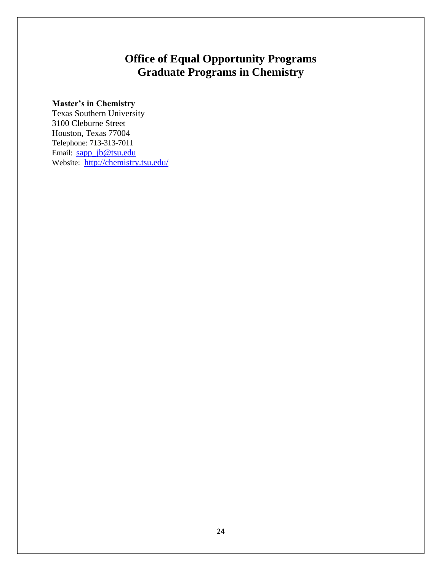# **Office of Equal Opportunity Programs Graduate Programs in Chemistry**

## **Master's in Chemistry**

Texas Southern University 3100 Cleburne Street Houston, Texas 77004 Telephone: 713-313-7011 Email: [sapp\\_jb@tsu.edu](mailto:sapp_jb@tsu.edu) Website: <http://chemistry.tsu.edu/>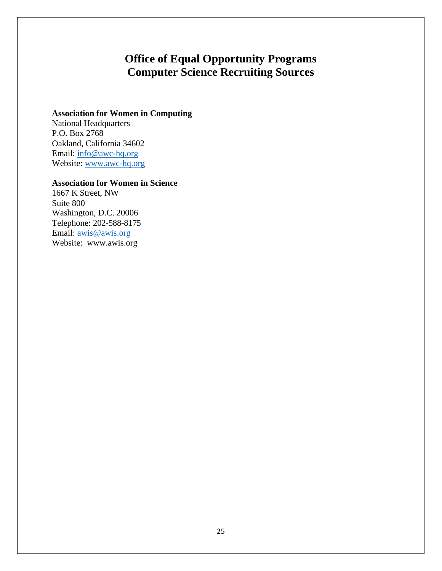# **Office of Equal Opportunity Programs Computer Science Recruiting Sources**

## **Association for Women in Computing**

National Headquarters P.O. Box 2768 Oakland, California 34602 Email: [info@awc-hq.org](mailto:info@awc-hq.org) Website: [www.awc-hq.org](http://www.awc-hq.org/)

## **Association for Women in Science**

1667 K Street, NW Suite 800 Washington, D.C. 20006 Telephone: 202-588-8175 Email: <u>awis@awis.org</u> Website: [www.awis.org](http://www.awis.org/)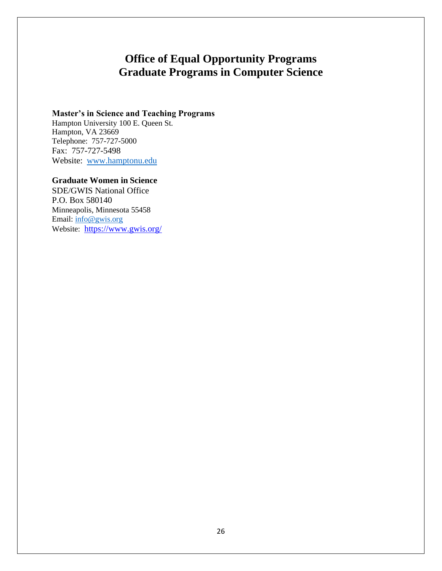# **Office of Equal Opportunity Programs Graduate Programs in Computer Science**

#### **Master's in Science and Teaching Programs**

Hampton University 100 E. Queen St. Hampton, VA 23669 Telephone: 757-727-5000 Fax: 757-727-5498 Website: [www.hamptonu.edu](http://www.hamptonu.edu/)

### **Graduate Women in Science**

SDE/GWIS National Office P.O. Box 580140 Minneapolis, Minnesota 55458 Email: [info@gwis.org](mailto:info@gwis.org) Website: <https://www.gwis.org/>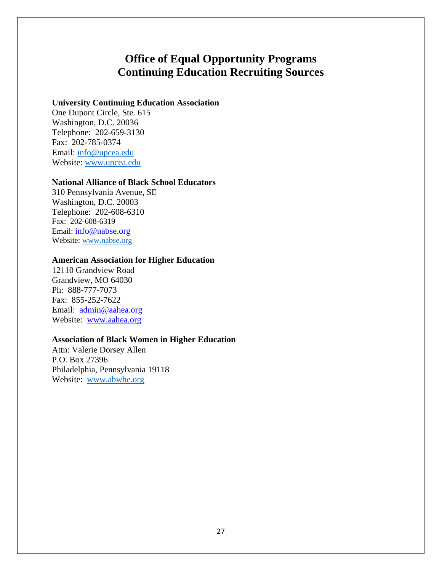## **Office of Equal Opportunity Programs Continuing Education Recruiting Sources**

### **University Continuing Education Association**

One Dupont Circle, Ste. 615 Washington, D.C. 20036 Telephone: 202-659-3130 Fax: 202-785-0374 Email: [info@upcea.edu](mailto:info@upcea.edu) Website: [www.upcea.edu](http://www.upcea.edu/)

#### **National Alliance of Black School Educators**

310 Pennsylvania Avenue, SE Washington, D.C. 20003 Telephone: 202-608-6310 Fax: 202-608-6319 Email: [info@nabse.org](mailto:info@nabse.org) Website: [www.nabse.org](http://www.nabse.org/)

#### **American Association for Higher Education**

12110 Grandview Road Grandview, MO 64030 Ph: 888-777-7073 Fax: 855-252-7622 Email: [admin@aahea.org](mailto:admin@aahea.org) Website: [www.aahea.org](http://www.aahea.org/)

#### **Association of Black Women in Higher Education**

Attn: Valerie Dorsey Allen P.O. Box 27396 Philadelphia, Pennsylvania 19118 Website: [www.abwhe.org](http://www.abwhe.org/)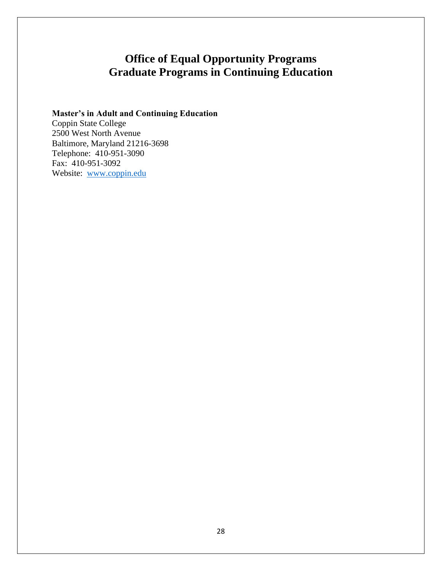# **Office of Equal Opportunity Programs Graduate Programs in Continuing Education**

## **Master's in Adult and Continuing Education**

Coppin State College 2500 West North Avenue Baltimore, Maryland 21216-3698 Telephone: 410-951-3090 Fax: 410-951-3092 Website: [www.coppin.edu](http://www.coppin.edu/)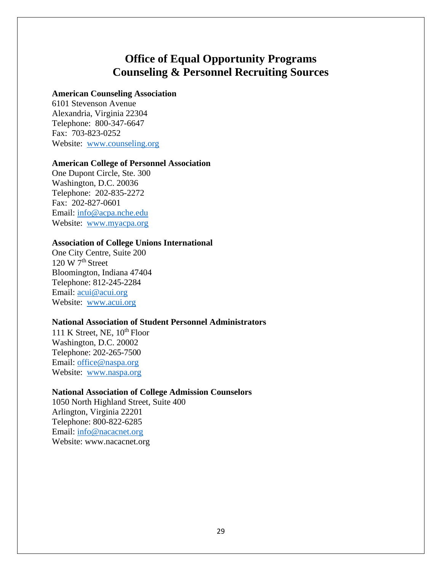## **Office of Equal Opportunity Programs Counseling & Personnel Recruiting Sources**

#### **American Counseling Association**

6101 Stevenson Avenue Alexandria, Virginia 22304 Telephone: 800-347-6647 Fax: 703-823-0252 Website: [www.counseling.org](http://www.counseling.org/)

#### **American College of Personnel Association**

One Dupont Circle, Ste. 300 Washington, D.C. 20036 Telephone: 202-835-2272 Fax: 202-827-0601 Email: [info@acpa.nche.edu](mailto:info@acpa.nche.edu) Website: [www.myacpa.org](http://www.myacpa.org/)

### **Association of College Unions International**

One City Centre, Suite 200  $120 \text{ W } 7^{\text{th}}$  Street Bloomington, Indiana 47404 Telephone: 812-245-2284 Email: [acui@acui.org](mailto:acui@acui.org) Website: [www.acui.org](http://www.acui.org/)

### **National Association of Student Personnel Administrators**

111 K Street, NE,  $10^{th}$  Floor Washington, D.C. 20002 Telephone: 202-265-7500 Email: [office@naspa.org](mailto:office@naspa.org) Website: [www.naspa.org](http://www.naspa.org/)

#### **National Association of College Admission Counselors**

1050 North Highland Street, Suite 400 Arlington, Virginia 22201 Telephone: 800-822-6285 Email: [info@nacacnet.org](mailto:info@nacacnet.org) Website: [www.nacacnet.org](http://www.nacacnet.org/)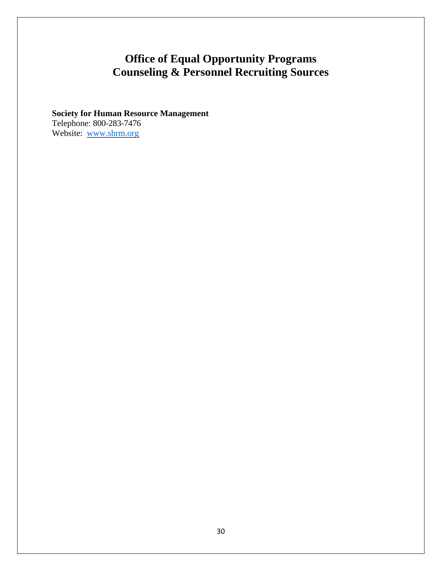# **Office of Equal Opportunity Programs Counseling & Personnel Recruiting Sources**

## **Society for Human Resource Management** Telephone: 800-283-7476 Website: [www.shrm.org](http://www.shrm.org/)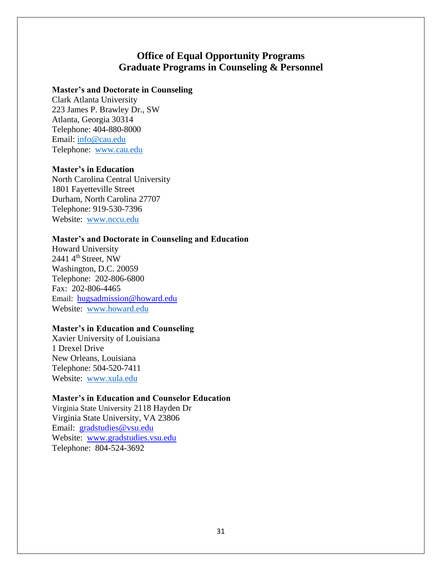## **Office of Equal Opportunity Programs Graduate Programs in Counseling & Personnel**

### **Master's and Doctorate in Counseling**

Clark Atlanta University 223 James P. Brawley Dr., SW Atlanta, Georgia 30314 Telephone: 404-880-8000 Email: [info@cau.edu](mailto:info@cau.edu) Telephone: [www.cau.edu](http://www.cau.edu/)

#### **Master's in Education**

North Carolina Central University 1801 Fayetteville Street Durham, North Carolina 27707 Telephone: 919-530-7396 Website: [www.nccu.edu](http://www.nccu.edu/)

#### **Master's and Doctorate in Counseling and Education**

Howard University 2441 4<sup>th</sup> Street, NW Washington, D.C. 20059 Telephone: 202-806-6800 Fax: 202-806-4465 Email: [hugsadmission@howard.edu](mailto:hugsadmisstion@howard.edu) Website: [www.howard.edu](http://www.howard.edu/)

### **Master's in Education and Counseling**

Xavier University of Louisiana 1 Drexel Drive New Orleans, Louisiana Telephone: 504-520-7411 Website: [www.xula.edu](http://www.xula.edu/)

## **Master's in Education and Counselor Education**

Virginia State University 2118 Hayden Dr Virginia State University, VA 23806 Email: [gradstudies@vsu.edu](mailto:gradstudies@vsu.edu) Website: [www.gradstudies.vsu.edu](http://www.gradstudies.vsu.edu/) Telephone: 804-524-3692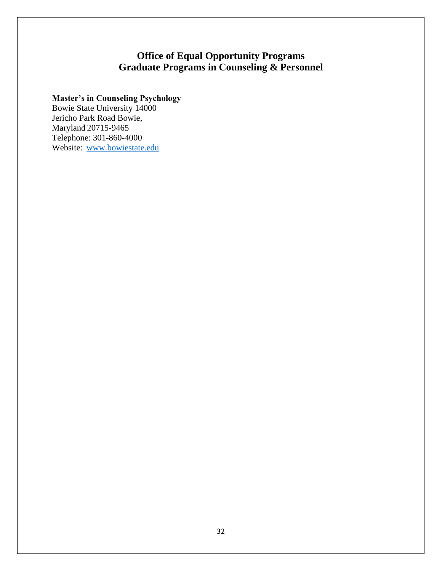## **Office of Equal Opportunity Programs Graduate Programs in Counseling & Personnel**

## **Master's in Counseling Psychology**

Bowie State University 14000 Jericho Park Road Bowie, Maryland 20715-9465 Telephone: 301-860-4000 Website: [www.bowiestate.edu](http://www.bowiestate.edu/)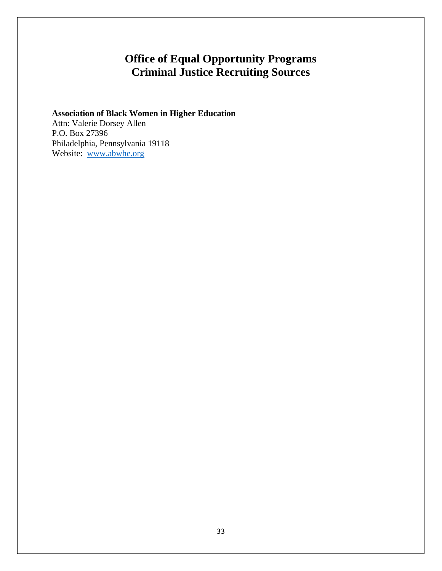# **Office of Equal Opportunity Programs Criminal Justice Recruiting Sources**

## **Association of Black Women in Higher Education** Attn: Valerie Dorsey Allen

P.O. Box 27396 Philadelphia, Pennsylvania 19118 Website: [www.abwhe.org](http://www.abwhe.org/)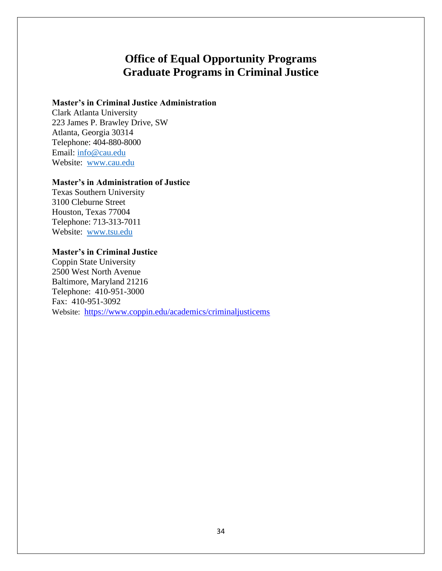## **Office of Equal Opportunity Programs Graduate Programs in Criminal Justice**

### **Master's in Criminal Justice Administration**

Clark Atlanta University 223 James P. Brawley Drive, SW Atlanta, Georgia 30314 Telephone: 404-880-8000 Email: [info@cau.edu](mailto:info@cau.edu) Website: [www.cau.edu](http://www.cau.edu/)

#### **Master's in Administration of Justice**

Texas Southern University 3100 Cleburne Street Houston, Texas 77004 Telephone: 713-313-7011 Website: [www.tsu.edu](http://www.tsu.edu/)

### **Master's in Criminal Justice**

Coppin State University 2500 West North Avenue Baltimore, Maryland 21216 Telephone: 410-951-3000 Fax: 410-951-3092 Website: <https://www.coppin.edu/academics/criminaljusticems>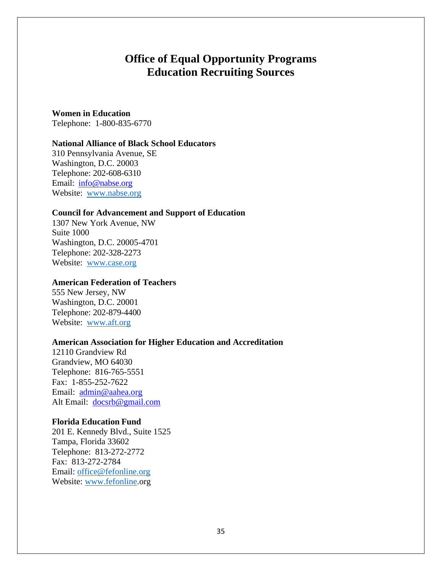## **Office of Equal Opportunity Programs Education Recruiting Sources**

#### **Women in Education**

Telephone: 1-800-835-6770

#### **National Alliance of Black School Educators**

310 Pennsylvania Avenue, SE Washington, D.C. 20003 Telephone: 202-608-6310 Email: [info@nabse.org](mailto:info@nabse.org) Website: [www.nabse.org](http://www.nabse.org/)

#### **Council for Advancement and Support of Education**

1307 New York Avenue, NW Suite 1000 Washington, D.C. 20005-4701 Telephone: 202-328-2273 Website: [www.case.org](http://www.case.org/)

### **American Federation of Teachers**

555 New Jersey, NW Washington, D.C. 20001 Telephone: 202-879-4400 Website: [www.aft.org](http://www.aft.org/)

#### **American Association for Higher Education and Accreditation**

12110 Grandview Rd Grandview, MO 64030 Telephone: 816-765-5551 Fax: 1-855-252-7622 Email: [admin@aahea.org](mailto:admin@aahea.org) Alt Email: [docsrb@gmail.com](mailto:docsrb@gmail.com)

#### **Florida Education Fund**

201 E. Kennedy Blvd., Suite 1525 Tampa, Florida 33602 Telephone: 813-272-2772 Fax: 813-272-2784 Email: [office@fefonline.org](mailto:office@fefonline.org) Website: [www.fefonline.org](http://www.fefonline.org/)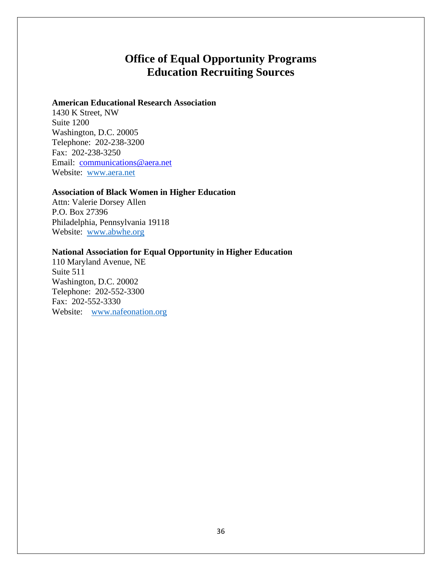## **Office of Equal Opportunity Programs Education Recruiting Sources**

### **American Educational Research Association**

1430 K Street, NW Suite 1200 Washington, D.C. 20005 Telephone: 202-238-3200 Fax: 202-238-3250 Email: [communications@aera.net](mailto:communications@aera.net) Website: [www.aera.net](http://www.aera.net/)

#### **Association of Black Women in Higher Education**

Attn: Valerie Dorsey Allen P.O. Box 27396 Philadelphia, Pennsylvania 19118 Website: [www.abwhe.org](http://www.abwhe.org/)

## **National Association for Equal Opportunity in Higher Education**

110 Maryland Avenue, NE Suite 511 Washington, D.C. 20002 Telephone: 202-552-3300 Fax: 202-552-3330 Website: www.nafeonation.org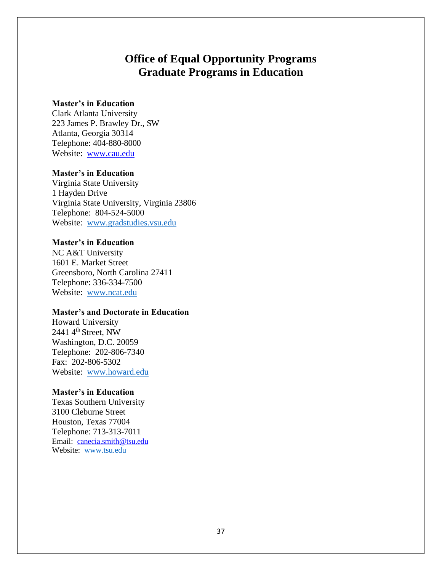# **Office of Equal Opportunity Programs Graduate Programs in Education**

## **Master's in Education**

Clark Atlanta University 223 James P. Brawley Dr., SW Atlanta, Georgia 30314 Telephone: 404-880-8000 Website: [www.cau.edu](http://www.cau.edu/)

### **Master's in Education**

Virginia State University 1 Hayden Drive Virginia State University, Virginia 23806 Telephone: 804-524-5000 Website: [www.gradstudies.vsu.edu](http://www.gradstudies.vsu.edu/)

## **Master's in Education**

NC A&T University 1601 E. Market Street Greensboro, North Carolina 27411 Telephone: 336-334-7500 Website: [www.ncat.edu](http://www.ncat.edu/)

### **Master's and Doctorate in Education**

Howard University 2441  $4<sup>th</sup>$  Street, NW Washington, D.C. 20059 Telephone: 202-806-7340 Fax: 202-806-5302 Website: [www.howard.edu](http://www.howard.edu/)

## **Master's in Education**

Texas Southern University 3100 Cleburne Street Houston, Texas 77004 Telephone: 713-313-7011 Email: [canecia.smith@tsu.edu](mailto:canecia.smith@tsu.edu) Website: [www.tsu.edu](http://www.tsu.edu/)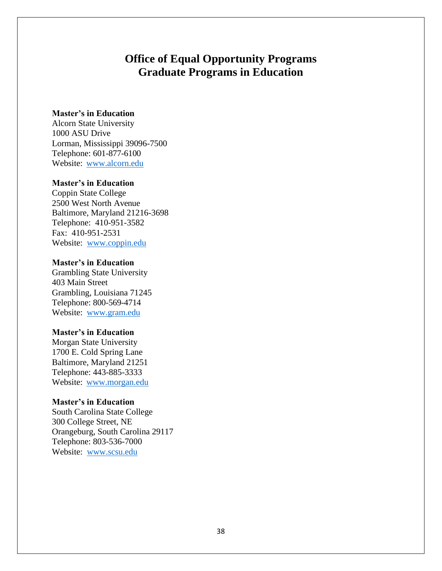# **Office of Equal Opportunity Programs Graduate Programs in Education**

### **Master's in Education**

Alcorn State University 1000 ASU Drive Lorman, Mississippi 39096-7500 Telephone: 601-877-6100 Website: [www.alcorn.edu](http://www.alcorn.edu/)

## **Master's in Education**

Coppin State College 2500 West North Avenue Baltimore, Maryland 21216-3698 Telephone: 410-951-3582 Fax: 410-951-2531 Website: [www.coppin.edu](http://www.coppin.edu/)

## **Master's in Education**

Grambling State University 403 Main Street Grambling, Louisiana 71245 Telephone: 800-569-4714 Website: [www.gram.edu](http://www.gram.edu/)

## **Master's in Education**

Morgan State University 1700 E. Cold Spring Lane Baltimore, Maryland 21251 Telephone: 443-885-3333 Website: [www.morgan.edu](http://www.morgan.edu/)

### **Master's in Education**

South Carolina State College 300 College Street, NE Orangeburg, South Carolina 29117 Telephone: 803-536-7000 Website: [www.scsu.edu](http://www.scsu.edu/)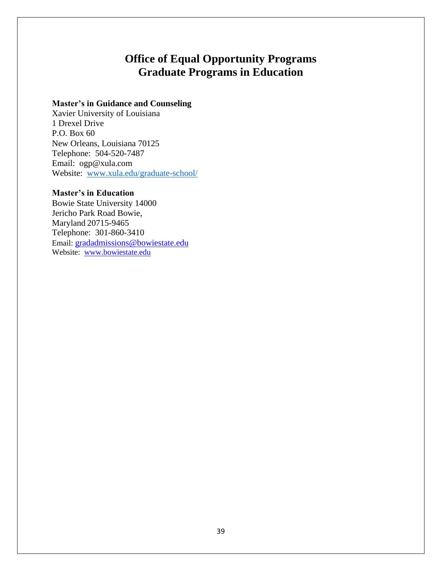# **Office of Equal Opportunity Programs Graduate Programs in Education**

## **Master's in Guidance and Counseling**

Xavier University of Louisiana 1 Drexel Drive P.O. Box 60 New Orleans, Louisiana 70125 Telephone: 504-520-7487 Email: ogp@xula.com Website: [www.xula.edu/graduate-school/](http://www.xula.edu/graduate-school/)

## **Master's in Education**

Bowie State University 14000 Jericho Park Road Bowie, Maryland 20715-9465 Telephone: 301-860-3410 Email: [gradadmissions@bowiestate.edu](mailto:gradadmissions@bowiestate.edu) Website: [www.bowiestate.edu](http://www.bowiestate.edu/)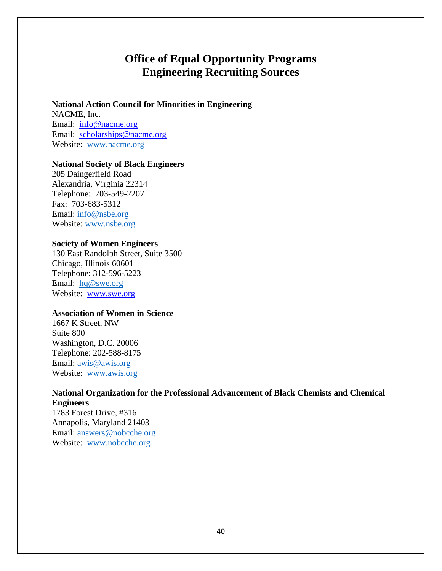# **Office of Equal Opportunity Programs Engineering Recruiting Sources**

### **National Action Council for Minorities in Engineering**

NACME, Inc. Email: [info@nacme.org](mailto:info@nacme.org) Email: [scholarships@nacme.org](mailto:scholarships@nacme.org) Website: [www.nacme.org](http://www.nacme.org/)

## **National Society of Black Engineers**

205 Daingerfield Road Alexandria, Virginia 22314 Telephone: 703-549-2207 Fax: 703-683-5312 Email: [info@nsbe.org](mailto:info@nsbe.org) Website: [www.nsbe.org](http://www.nsbe.org/)

### **Society of Women Engineers**

130 East Randolph Street, Suite 3500 Chicago, Illinois 60601 Telephone: 312-596-5223 Email: [hq@swe.org](mailto:hq@swe.org) Website: [www.swe.org](http://www.swe.org/)

## **Association of Women in Science**

1667 K Street, NW Suite 800 Washington, D.C. 20006 Telephone: 202-588-8175 Email: [awis@awis.org](mailto:awis@awis.org) Website: [www.awis.org](http://www.awis.org/)

## **National Organization for the Professional Advancement of Black Chemists and Chemical Engineers**

1783 Forest Drive, #316 Annapolis, Maryland 21403 Email: [answers@nobcche.org](mailto:answers@nobcche.org) Website: [www.nobcche.org](http://www.nobcche.org/)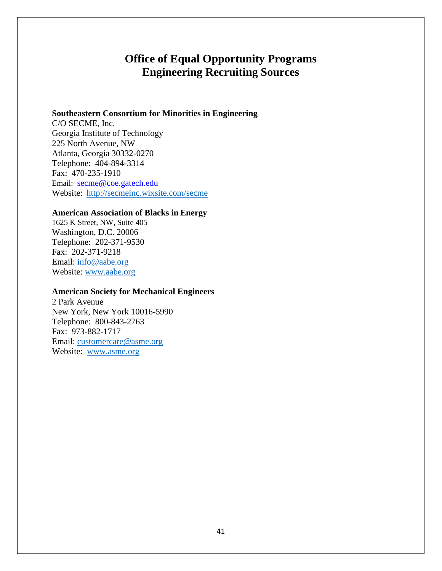# **Office of Equal Opportunity Programs Engineering Recruiting Sources**

### **Southeastern Consortium for Minorities in Engineering**

C/O SECME, Inc. Georgia Institute of Technology 225 North Avenue, NW Atlanta, Georgia 30332-0270 Telephone: 404-894-3314 Fax: 470-235-1910 Email: [secme@coe.gatech.edu](mailto:secme@coe.gatech.edu) Website: <http://secmeinc.wixsite.com/secme>

### **American Association of Blacks in Energy**

1625 K Street, NW, Suite 405 Washington, D.C. 20006 Telephone: 202-371-9530 Fax: 202-371-9218 Email: [info@aabe.org](mailto:info@aabe.org) Website: [www.aabe.org](http://www.aabe.org/)

### **American Society for Mechanical Engineers**

2 Park Avenue New York, New York 10016-5990 Telephone: 800-843-2763 Fax: 973-882-1717 Email: [customercare@asme.org](mailto:customercare@asme.org) Website: [www.asme.org](http://www.asme.org/)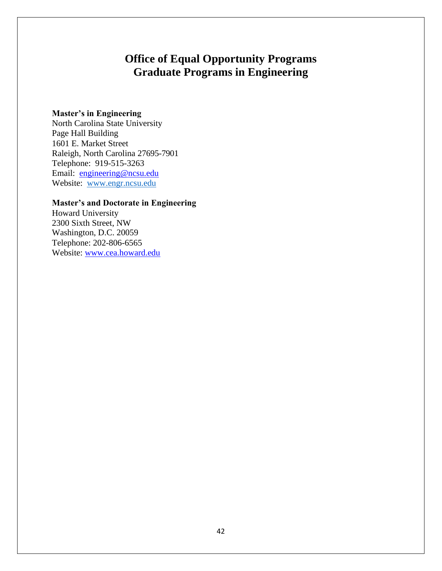# **Office of Equal Opportunity Programs Graduate Programs in Engineering**

## **Master's in Engineering**

North Carolina State University Page Hall Building 1601 E. Market Street Raleigh, North Carolina 27695-7901 Telephone: 919-515-3263 Email: [engineering@ncsu.edu](mailto:engineering@ncsu.edu) Website: [www.engr.ncsu.edu](http://www.engr.ncsu.edu/)

## **Master's and Doctorate in Engineering**

Howard University 2300 Sixth Street, NW Washington, D.C. 20059 Telephone: 202-806-6565 Website: [www.cea.howard.edu](http://www.cea.howard.edu/)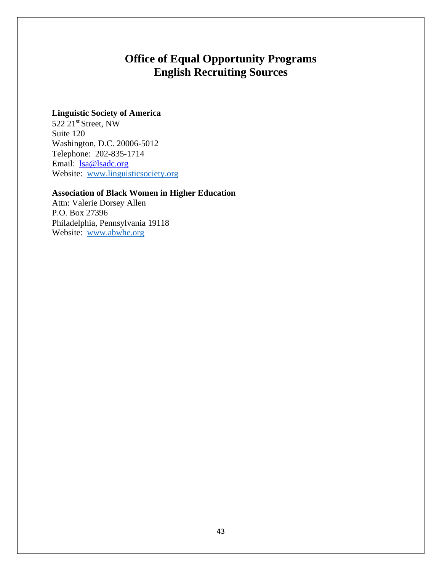# **Office of Equal Opportunity Programs English Recruiting Sources**

## **Linguistic Society of America**

522 21<sup>st</sup> Street, NW Suite 120 Washington, D.C. 20006-5012 Telephone: 202-835-1714 Email: <u>Isa@lsadc.org</u> Website: [www.linguisticsociety.org](http://www.linguisticsociety.org/)

## **Association of Black Women in Higher Education**

Attn: Valerie Dorsey Allen P.O. Box 27396 Philadelphia, Pennsylvania 19118 Website: [www.abwhe.org](http://www.abwhe.org/)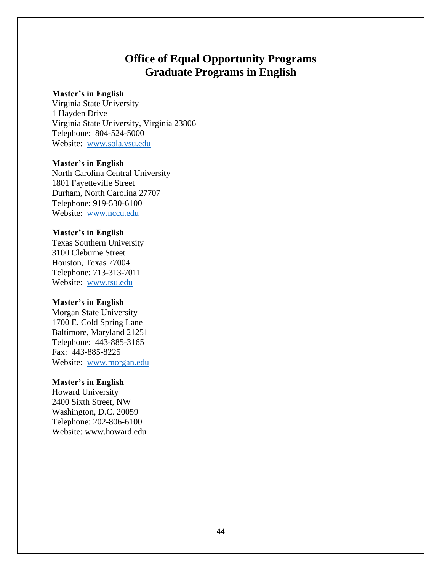# **Office of Equal Opportunity Programs Graduate Programs in English**

### **Master's in English**

Virginia State University 1 Hayden Drive Virginia State University, Virginia 23806 Telephone: 804-524-5000 Website: [www.sola.vsu.edu](http://www.sola.vsu.edu/)

### **Master's in English**

North Carolina Central University 1801 Fayetteville Street Durham, North Carolina 27707 Telephone: 919-530-6100 Website: [www.nccu.edu](http://www.nccu.edu/)

### **Master's in English**

Texas Southern University 3100 Cleburne Street Houston, Texas 77004 Telephone: 713-313-7011 Website: [www.tsu.edu](http://www.tsu.edu/)

#### **Master's in English**

Morgan State University 1700 E. Cold Spring Lane Baltimore, Maryland 21251 Telephone: 443-885-3165 Fax: 443-885-8225 Website: [www.morgan.edu](http://www.morgan.edu/)

### **Master's in English**

Howard University 2400 Sixth Street, NW Washington, D.C. 20059 Telephone: 202-806-6100 Website: [www.howard.edu](http://www.howard.edu/)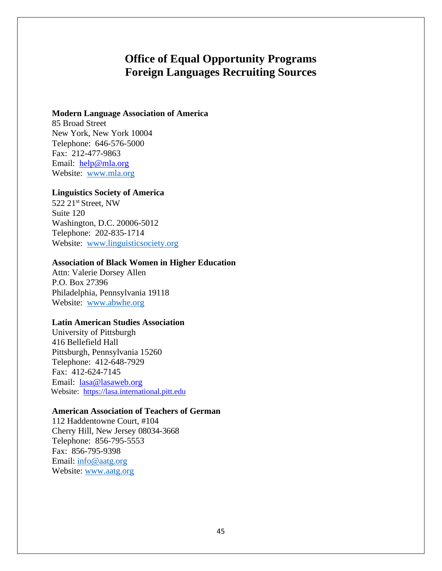# **Office of Equal Opportunity Programs Foreign Languages Recruiting Sources**

### **Modern Language Association of America**

85 Broad Street New York, New York 10004 Telephone: 646-576-5000 Fax: 212-477-9863 Email: [help@mla.org](mailto:help@mla.org) Website: [www.mla.org](http://www.mla.org/)

### **Linguistics Society of America**

522 21st Street, NW Suite 120 Washington, D.C. 20006-5012 Telephone: 202-835-1714 Website: [www.linguisticsociety.org](http://www.linguisticsociety.org/)

### **Association of Black Women in Higher Education**

Attn: Valerie Dorsey Allen P.O. Box 27396 Philadelphia, Pennsylvania 19118 Website: [www.abwhe.org](http://www.abwhe.org/)

### **Latin American Studies Association**

University of Pittsburgh 416 Bellefield Hall Pittsburgh, Pennsylvania 15260 Telephone: 412-648-7929 Fax: 412-624-7145 Email: [lasa@lasaweb.org](mailto:lasa@lasaweb.org) Website: [https://lasa.international.pitt.edu](https://lasa.international.pitt.edu/)

### **American Association of Teachers of German**

112 Haddentowne Court, #104 Cherry Hill, New Jersey 08034-3668 Telephone: 856-795-5553 Fax: 856-795-9398 Email: [info@aatg.org](mailto:info@aatg.org) Website: [www.aatg.org](http://www.aatg.org/)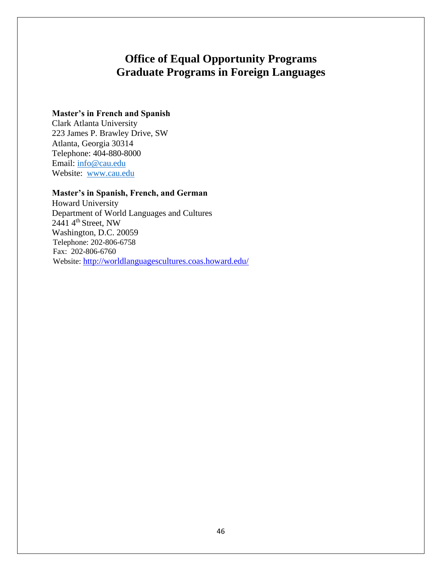# **Office of Equal Opportunity Programs Graduate Programs in Foreign Languages**

## **Master's in French and Spanish**

Clark Atlanta University 223 James P. Brawley Drive, SW Atlanta, Georgia 30314 Telephone: 404-880-8000 Email: [info@cau.edu](mailto:info@cau.edu) Website: [www.cau.edu](http://www.cau.edu/)

## **Master's in Spanish, French, and German**

Howard University Department of World Languages and Cultures  $2441$  4<sup>th</sup> Street, NW Washington, D.C. 20059 Telephone: 202-806-6758 Fax: 202-806-6760 Website: <http://worldlanguagescultures.coas.howard.edu/>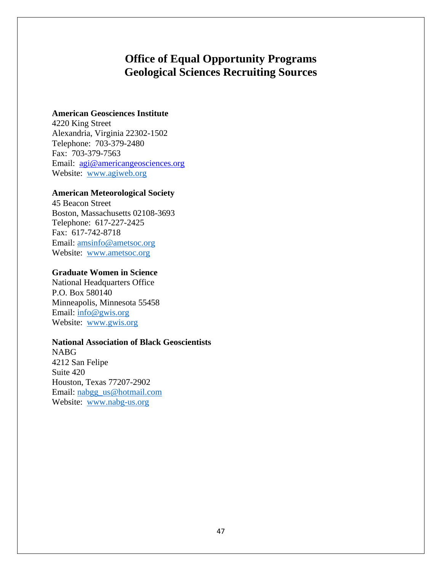# **Office of Equal Opportunity Programs Geological Sciences Recruiting Sources**

## **American Geosciences Institute**

4220 King Street Alexandria, Virginia 22302-1502 Telephone: 703-379-2480 Fax: 703-379-7563 Email: [agi@americangeosciences.org](mailto:agi@americangeosciences.org) Website: [www.agiweb.org](http://www.agiweb.org/)

## **American Meteorological Society**

45 Beacon Street Boston, Massachusetts 02108-3693 Telephone: 617-227-2425 Fax: 617-742-8718 Email: [amsinfo@ametsoc.org](mailto:amsinfo@ametsoc.org) Website: [www.ametsoc.org](http://www.ametsoc.org/)

### **Graduate Women in Science**

National Headquarters Office P.O. Box 580140 Minneapolis, Minnesota 55458 Email: [info@gwis.org](mailto:info@gwis.org) Website: [www.gwis.org](http://www.gwis.org/)

### **National Association of Black Geoscientists**

NABG 4212 San Felipe Suite 420 Houston, Texas 77207-2902 Email: [nabgg\\_us@hotmail.com](mailto:nabgg_us@hotmail.com) Website: [www.nabg-us.org](http://www.nabg-us.org/)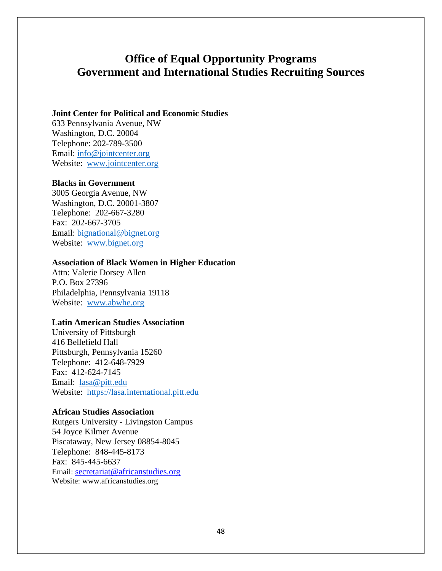## **Office of Equal Opportunity Programs Government and International Studies Recruiting Sources**

### **Joint Center for Political and Economic Studies**

633 Pennsylvania Avenue, NW Washington, D.C. 20004 Telephone: 202-789-3500 Email: [info@jointcenter.org](mailto:info@jointcenter.org) Website: [www.jointcenter.org](http://www.jointcenter.org/)

### **Blacks in Government**

3005 Georgia Avenue, NW Washington, D.C. 20001-3807 Telephone: 202-667-3280 Fax: 202-667-3705 Email: [bignational@bignet.org](mailto:bignational@bignet.org) Website: [www.bignet.org](http://www.bignet.org/)

### **Association of Black Women in Higher Education**

Attn: Valerie Dorsey Allen P.O. Box 27396 Philadelphia, Pennsylvania 19118 Website: [www.abwhe.org](http://www.abwhe.org/)

#### **Latin American Studies Association**

University of Pittsburgh 416 Bellefield Hall Pittsburgh, Pennsylvania 15260 Telephone: 412-648-7929 Fax: 412-624-7145 Email: [lasa@pitt.edu](mailto:lasa@pitt.edu) Website: [https://lasa.international.pitt.edu](https://lasa.international.pitt.edu/)

#### **African Studies Association**

Rutgers University - Livingston Campus 54 Joyce Kilmer Avenue Piscataway, New Jersey 08854-8045 Telephone: 848-445-8173 Fax: 845-445-6637 Email: [secretariat@africanstudies.org](mailto:secretariat@africanstudies.org) Website: [www.africanstudies.org](http://www.africanstudies.org/)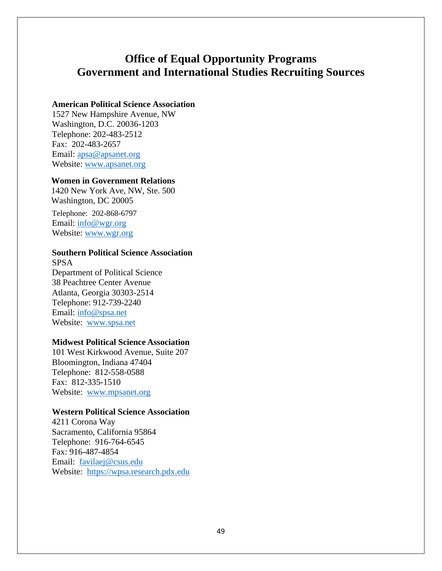# **Office of Equal Opportunity Programs Government and International Studies Recruiting Sources**

## **American Political Science Association**

1527 New Hampshire Avenue, NW Washington, D.C. 20036-1203 Telephone: 202-483-2512 Fax: 202-483-2657 Email: [apsa@apsanet.org](mailto:apsa@apsanet.org) Website: [www.apsanet.org](http://www.apsanet.org/)

### **Women in Government Relations**

1420 New York Ave, NW, Ste. 500 Washington, DC 20005

Telephone: 202-868-6797 Email: [info@wgr.org](mailto:info@wgr.org) Website: [www.wgr.org](http://www.wgr.org/)

## **Southern Political Science Association**

SPSA Department of Political Science 38 Peachtree Center Avenue Atlanta, Georgia 30303-2514 Telephone: 912-739-2240 Email: [info@spsa.net](mailto:info@spsa.net) Website: [www.spsa.net](http://www.spsa.net/)

## **Midwest Political Science Association**

101 West Kirkwood Avenue, Suite 207 Bloomington, Indiana 47404 Telephone: 812-558-0588 Fax: 812-335-1510 Website: [www.mpsanet.org](http://www.mpsanet.org/)

### **Western Political Science Association**

4211 Corona Way Sacramento, California 95864 Telephone: 916-764-6545 Fax: 916-487-4854 Email: [favilaej@csus.edu](mailto:favilaej@csus.edu) Website: [https://wpsa.research.pdx.edu](https://wpsa.research.pdx.edu/)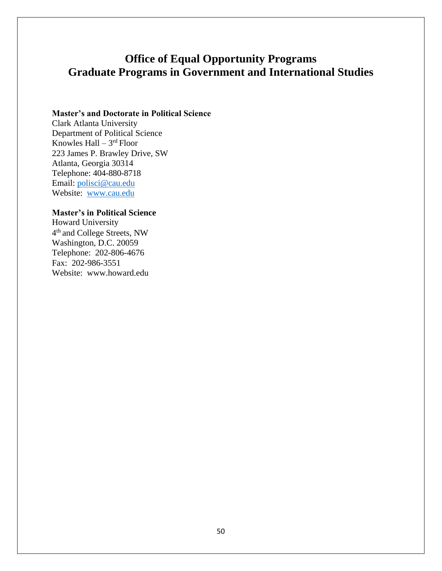# **Office of Equal Opportunity Programs Graduate Programs in Government and International Studies**

## **Master's and Doctorate in Political Science**

Clark Atlanta University Department of Political Science Knowles Hall – 3<sup>rd</sup> Floor 223 James P. Brawley Drive, SW Atlanta, Georgia 30314 Telephone: 404-880-8718 Email: [polisci@cau.edu](mailto:polisci@cau.edu) Website: [www.cau.edu](http://www.cau.edu/)

## **Master's in Political Science**

Howard University 4<sup>th</sup> and College Streets, NW Washington, D.C. 20059 Telephone: 202-806-4676 Fax: 202-986-3551 Website: [www.howard.edu](http://www.howard.edu/)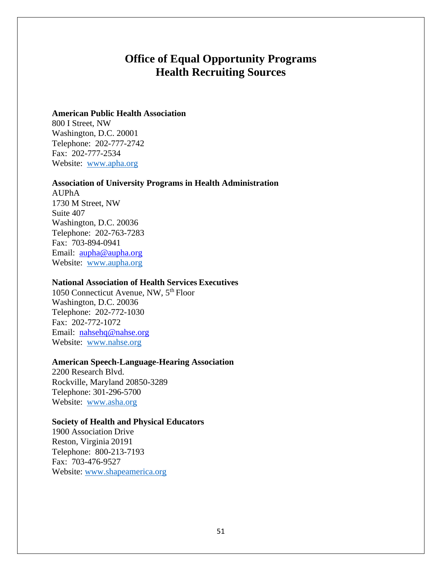## **Office of Equal Opportunity Programs Health Recruiting Sources**

### **American Public Health Association**

800 I Street, NW Washington, D.C. 20001 Telephone: 202-777-2742 Fax: 202-777-2534 Website: [www.apha.org](http://www.apha.org/)

### **Association of University Programs in Health Administration**

AUPhA 1730 M Street, NW Suite 407 Washington, D.C. 20036 Telephone: 202-763-7283 Fax: 703-894-0941 Email: [aupha@aupha.org](mailto:aupha@aupha.org) Website: [www.aupha.org](http://www.aupha.org/)

## **National Association of Health Services Executives**

1050 Connecticut Avenue, NW, 5th Floor Washington, D.C. 20036 Telephone: 202-772-1030 Fax: 202-772-1072 Email: [nahsehq@nahse.org](mailto:nahsehq@nahse.org) Website: [www.nahse.org](http://www.nahse.org/)

### **American Speech-Language-Hearing Association**

2200 Research Blvd. Rockville, Maryland 20850-3289 Telephone: 301-296-5700 Website: [www.asha.org](http://www.asha.org/)

### **Society of Health and Physical Educators**

1900 Association Drive Reston, Virginia 20191 Telephone: 800-213-7193 Fax: 703-476-9527 Website: [www.shapeamerica.org](http://www.shapeamerica.org/)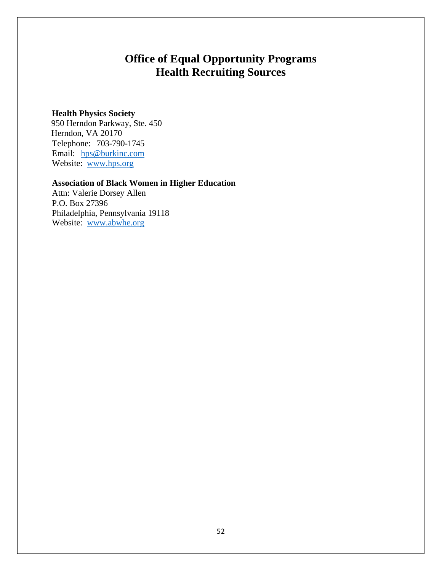# **Office of Equal Opportunity Programs Health Recruiting Sources**

## **Health Physics Society**

 950 Herndon Parkway, Ste. 450 Herndon, VA 20170 Telephone: 703-790-1745 Email: [hps@burkinc.com](mailto:hps@burkinc.com) Website: [www.hps.org](http://www.hps.org/)

## **Association of Black Women in Higher Education**

Attn: Valerie Dorsey Allen P.O. Box 27396 Philadelphia, Pennsylvania 19118 Website: [www.abwhe.org](http://www.abwhe.org/)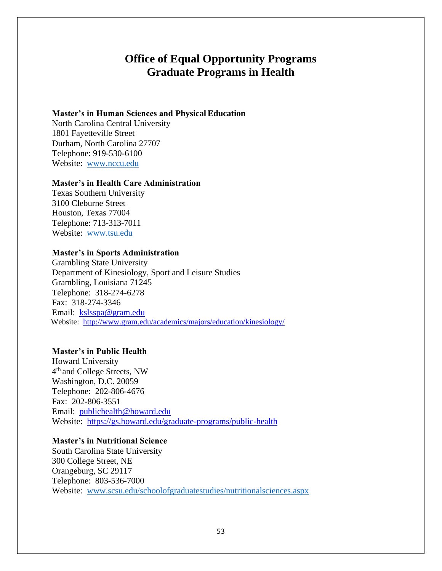## **Office of Equal Opportunity Programs Graduate Programs in Health**

### **Master's in Human Sciences and Physical Education**

North Carolina Central University 1801 Fayetteville Street Durham, North Carolina 27707 Telephone: 919-530-6100 Website: [www.nccu.edu](http://www.nccu.edu/)

### **Master's in Health Care Administration**

Texas Southern University 3100 Cleburne Street Houston, Texas 77004 Telephone: 713-313-7011 Website: [www.tsu.edu](http://www.tsu.edu/)

### **Master's in Sports Administration**

Grambling State University Department of Kinesiology, Sport and Leisure Studies Grambling, Louisiana 71245 Telephone: 318-274-6278 Fax: 318-274-3346 Email: [kslsspa@gram.edu](mailto:kslsspa@gram.edu) Website: <http://www.gram.edu/academics/majors/education/kinesiology/>

### **Master's in Public Health**

Howard University 4<sup>th</sup> and College Streets, NW Washington, D.C. 20059 Telephone: 202-806-4676 Fax: 202-806-3551 Email: [publichealth@howard.edu](mailto:publichealth@howard.edu) Website: <https://gs.howard.edu/graduate-programs/public-health>

## **Master's in Nutritional Science**

South Carolina State University 300 College Street, NE Orangeburg, SC 29117 Telephone: 803-536-7000 Website: [www.scsu.edu/schoolofgraduatestudies/nutritionalsciences.aspx](http://www.scsu.edu/schoolofgraduatestudies/nutritionalsciences.aspx)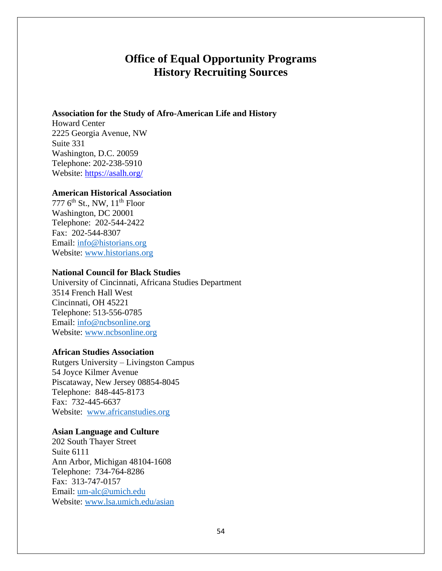# **Office of Equal Opportunity Programs History Recruiting Sources**

### **Association for the Study of Afro-American Life and History**

Howard Center 2225 Georgia Avenue, NW Suite 331 Washington, D.C. 20059 Telephone: 202-238-5910 Website:<https://asalh.org/>

### **American Historical Association**

777  $6<sup>th</sup>$  St., NW,  $11<sup>th</sup>$  Floor Washington, DC 20001 Telephone: 202-544-2422 Fax: 202-544-8307 Email: [info@historians.org](mailto:info@historians.org) Website: [www.historians.org](http://www.historians.org/)

### **National Council for Black Studies**

University of Cincinnati, Africana Studies Department 3514 French Hall West Cincinnati, OH 45221 Telephone: 513-556-0785 Email: [info@ncbsonline.org](mailto:info@ncbsonline.org) Website: [www.ncbsonline.org](http://www.ncbsonline.org/)

### **African Studies Association**

Rutgers University – Livingston Campus 54 Joyce Kilmer Avenue Piscataway, New Jersey 08854-8045 Telephone: 848-445-8173 Fax: 732-445-6637 Website: [www.africanstudies.org](http://www.africanstudies.org/)

#### **Asian Language and Culture**

202 South Thayer Street Suite 6111 Ann Arbor, Michigan 48104-1608 Telephone: 734-764-8286 Fax: 313-747-0157 Email: [um-alc@umich.edu](mailto:um-alc@umich.edu) Website: [www.lsa.umich.edu/asian](http://www.lsa.umich.edu/asian)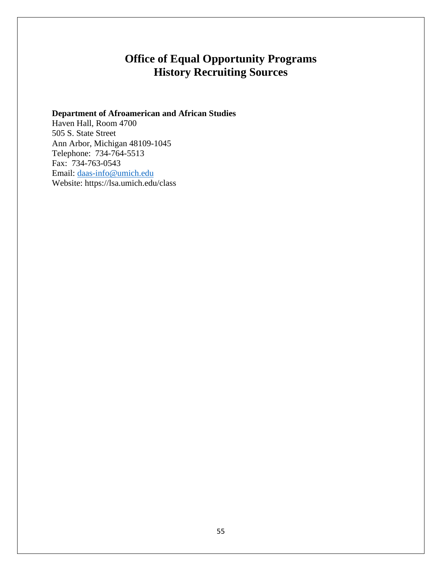# **Office of Equal Opportunity Programs History Recruiting Sources**

## **Department of Afroamerican and African Studies**

Haven Hall, Room 4700 505 S. State Street Ann Arbor, Michigan 48109-1045 Telephone: 734-764-5513 Fax: 734-763-0543 Email: [daas-info@umich.edu](mailto:daas-info@umich.edu) Website: https://lsa.umich.edu/class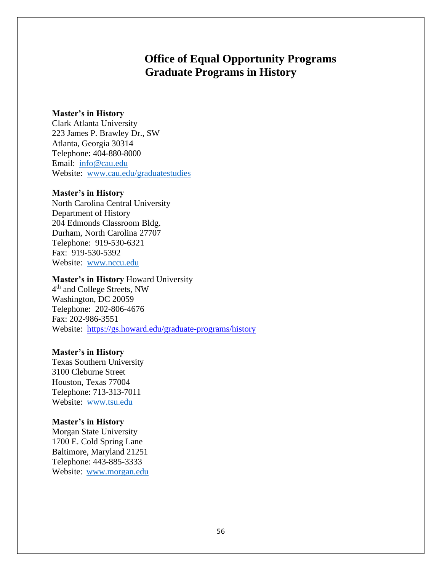# **Office of Equal Opportunity Programs Graduate Programs in History**

### **Master's in History**

Clark Atlanta University 223 James P. Brawley Dr., SW Atlanta, Georgia 30314 Telephone: 404-880-8000 Email: [info@cau.edu](mailto:info@cau.edu) Website: [www.cau.edu/graduatestudies](http://www.cau.edu/graduatestudies)

### **Master's in History**

North Carolina Central University Department of History 204 Edmonds Classroom Bldg. Durham, North Carolina 27707 Telephone: 919-530-6321 Fax: 919-530-5392 Website: [www.nccu.edu](http://www.nccu.edu/)

### **Master's in History** Howard University

4<sup>th</sup> and College Streets, NW Washington, DC 20059 Telephone: 202-806-4676 Fax: 202-986-3551 Website: <https://gs.howard.edu/graduate-programs/history>

#### **Master's in History**

Texas Southern University 3100 Cleburne Street Houston, Texas 77004 Telephone: 713-313-7011 Website: [www.tsu.edu](http://www.tsu.edu/)

#### **Master's in History**

Morgan State University 1700 E. Cold Spring Lane Baltimore, Maryland 21251 Telephone: 443-885-3333 Website: [www.morgan.edu](http://www.morgan.edu/)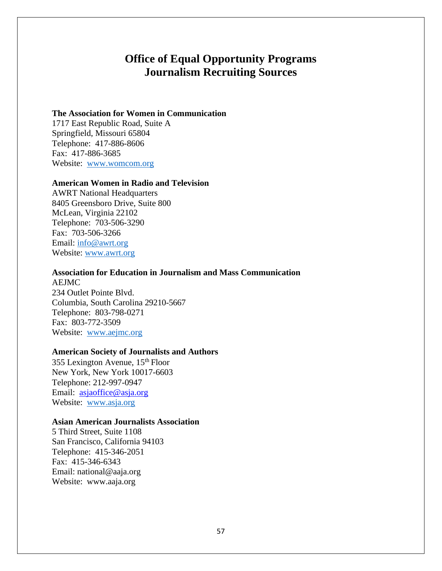## **Office of Equal Opportunity Programs Journalism Recruiting Sources**

### **The Association for Women in Communication**

1717 East Republic Road, Suite A Springfield, Missouri 65804 Telephone: 417-886-8606 Fax: 417-886-3685 Website: [www.womcom.org](http://www.womcom.org/)

### **American Women in Radio and Television**

AWRT National Headquarters 8405 Greensboro Drive, Suite 800 McLean, Virginia 22102 Telephone: 703-506-3290 Fax: 703-506-3266 Email: [info@awrt.org](mailto:info@awrt.org) Website: [www.awrt.org](http://www.awrt.org/)

## **Association for Education in Journalism and Mass Communication**

AEJMC 234 Outlet Pointe Blvd. Columbia, South Carolina 29210-5667 Telephone: 803-798-0271 Fax: 803-772-3509 Website: [www.aejmc.org](http://www.aejmc.org/)

### **American Society of Journalists and Authors**

355 Lexington Avenue, 15th Floor New York, New York 10017-6603 Telephone: 212-997-0947 Email: [asjaoffice@asja.org](mailto:asjaoffice@asja.org) Website: [www.asja.org](http://www.asja.org/)

### **Asian American Journalists Association**

5 Third Street, Suite 1108 San Francisco, California 94103 Telephone: 415-346-2051 Fax: 415-346-6343 Em[ail: national@aaja.org](mailto:national@aaja.org) Website: [www.aaja.org](http://www.aaja.org/)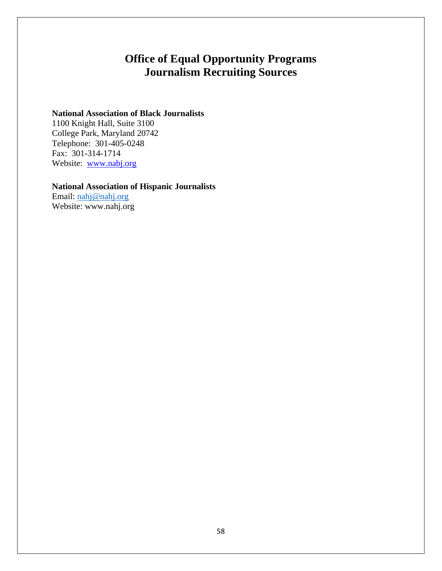# **Office of Equal Opportunity Programs Journalism Recruiting Sources**

## **National Association of Black Journalists**

1100 Knight Hall, Suite 3100 College Park, Maryland 20742 Telephone: 301-405-0248 Fax: 301-314-1714 Website: [www.nabj.org](http://www.nabj.org/)

## **National Association of Hispanic Journalists**

Email: [nahj@nahj.org](mailto:nahj@nahj.org) Website: [www.nahj.org](http://www.nahj.org/)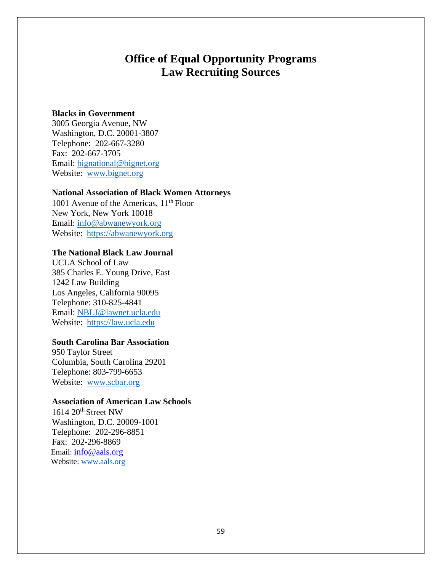## **Office of Equal Opportunity Programs Law Recruiting Sources**

### **Blacks in Government**

3005 Georgia Avenue, NW Washington, D.C. 20001-3807 Telephone: 202-667-3280 Fax: 202-667-3705 Email: [bignational@bignet.org](mailto:bignational@bignet.org) Website: [www.bignet.org](http://www.bignet.org/)

### **National Association of Black Women Attorneys**

1001 Avenue of the Americas,  $11<sup>th</sup>$  Floor New York, New York 10018 Email: [info@abwanewyork.org](mailto:info@abwanewyork.org) Website: [https://abwanewyork.org](https://abwanewyork.org/)

## **The National Black Law Journal**

UCLA School of Law 385 Charles E. Young Drive, East 1242 Law Building Los Angeles, California 90095 Telephone: 310-825-4841 Email: [NBLJ@lawnet.ucla.edu](mailto:NBLJ@lawnet.ucla.edu) Website: [https://law.ucla.edu](https://law.ucla.edu/)

## **South Carolina Bar Association**

950 Taylor Street Columbia, South Carolina 29201 Telephone: 803-799-6653 Website: [www.scbar.org](http://www.scbar.org/)

## **Association of American Law Schools**

1614 20<sup>th</sup> Street NW Washington, D.C. 20009-1001 Telephone: 202-296-8851 Fax: 202-296-8869 Email: [info@aals.org](mailto:info@aals.org) Website: [www.aals.org](http://www.aals.org/)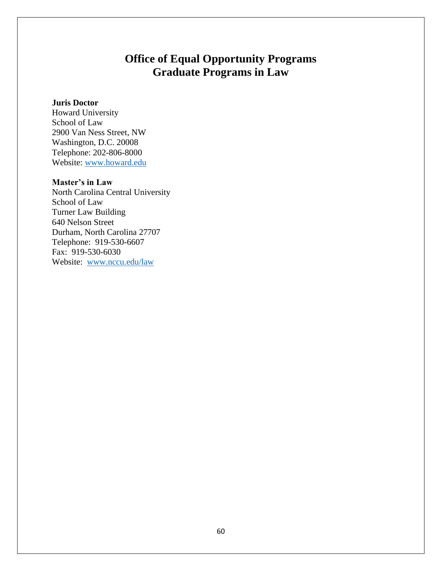# **Office of Equal Opportunity Programs Graduate Programs in Law**

## **Juris Doctor**

Howard University School of Law 2900 Van Ness Street, NW Washington, D.C. 20008 Telephone: 202-806-8000 Website: [www.howard.edu](http://www.howard.edu/)

## **Master's in Law**

North Carolina Central University School of Law Turner Law Building 640 Nelson Street Durham, North Carolina 27707 Telephone: 919-530-6607 Fax: 919-530-6030 Website: [www.nccu.edu/law](http://www.nccu.edu/law)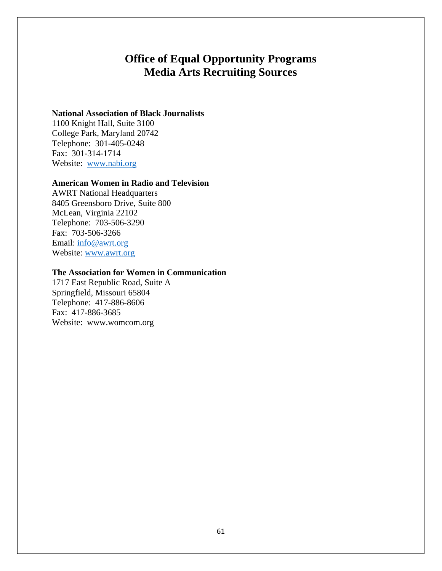# **Office of Equal Opportunity Programs Media Arts Recruiting Sources**

## **National Association of Black Journalists**

1100 Knight Hall, Suite 3100 College Park, Maryland 20742 Telephone: 301-405-0248 Fax: 301-314-1714 Website: [www.nabi.org](http://www.nabi.org/)

### **American Women in Radio and Television**

AWRT National Headquarters 8405 Greensboro Drive, Suite 800 McLean, Virginia 22102 Telephone: 703-506-3290 Fax: 703-506-3266 Email: [info@awrt.org](mailto:info@awrt.org) Website: [www.awrt.org](http://www.awrt.org/)

### **The Association for Women in Communication**

1717 East Republic Road, Suite A Springfield, Missouri 65804 Telephone: 417-886-8606 Fax: 417-886-3685 Website: [www.womcom.org](http://www.womcom.org/)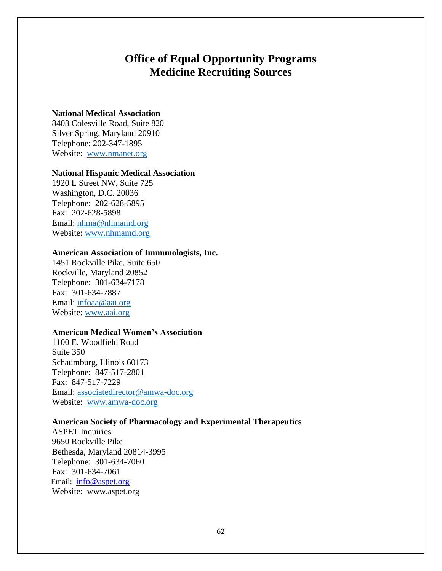## **Office of Equal Opportunity Programs Medicine Recruiting Sources**

## **National Medical Association**

8403 Colesville Road, Suite 820 Silver Spring, Maryland 20910 Telephone: 202-347-1895 Website: [www.nmanet.org](http://www.nmanet.org/)

### **National Hispanic Medical Association**

1920 L Street NW, Suite 725 Washington, D.C. 20036 Telephone: 202-628-5895 Fax: 202-628-5898 Email: [nhma@nhmamd.org](mailto:nhma@nhmamd.org) Website: [www.nhmamd.org](http://www.nhmamd.org/)

### **American Association of Immunologists, Inc.**

1451 Rockville Pike, Suite 650 Rockville, Maryland 20852 Telephone: 301-634-7178 Fax: 301-634-7887 Email: [infoaa@aai.org](mailto:infoaa@aai.org) Website: [www.aai.org](http://www.aai.org/)

### **American Medical Women's Association**

1100 E. Woodfield Road Suite 350 Schaumburg, Illinois 60173 Telephone: 847-517-2801 Fax: 847-517-7229 Email: [associatedirector@amwa-doc.org](mailto:associatedirector@amwa-doc.org) Website: [www.amwa-doc.org](http://www.amwa-doc.org/)

## **American Society of Pharmacology and Experimental Therapeutics**

ASPET Inquiries 9650 Rockville Pike Bethesda, Maryland 20814-3995 Telephone: 301-634-7060 Fax: 301-634-7061 Email: [info@aspet.org](mailto:info@aspet.org) Website: [www.aspet.org](http://www.aspet.org/)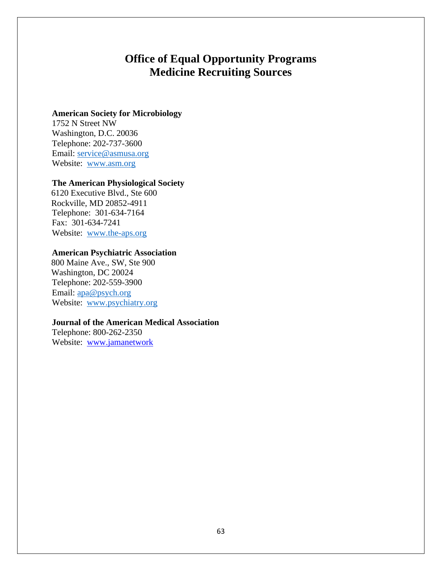## **Office of Equal Opportunity Programs Medicine Recruiting Sources**

## **American Society for Microbiology**

1752 N Street NW Washington, D.C. 20036 Telephone: 202-737-3600 Email: [service@asmusa.org](mailto:service@asmusa.org) Website: [www.asm.org](http://www.asm.org/)

## **The American Physiological Society**

 6120 Executive Blvd., Ste 600 Rockville, MD 20852-4911 Telephone: 301-634-7164 Fax: 301-634-7241 Website: [www.the-aps.org](http://www.the-aps.org/)

## **American Psychiatric Association**

 800 Maine Ave., SW, Ste 900 Washington, DC 20024 Telephone: 202-559-3900 Email: [apa@psych.org](mailto:apa@psych.org) Website: [www.psychiatry.org](http://www.psychiatry.org/)

## **Journal of the American Medical Association**

Telephone: 800-262-2350 Website: [www.jamanetwork](http://www.jamanetwork/)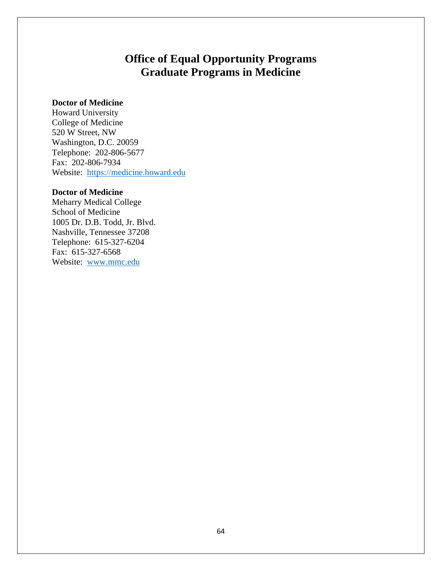# **Office of Equal Opportunity Programs Graduate Programs in Medicine**

## **Doctor of Medicine**

Howard University College of Medicine 520 W Street, NW Washington, D.C. 20059 Telephone: 202-806-5677 Fax: 202-806-7934 Website: [https://medicine.howard.edu](https://medicine.howard.edu/)

### **Doctor of Medicine**

Meharry Medical College School of Medicine 1005 Dr. D.B. Todd, Jr. Blvd. Nashville, Tennessee 37208 Telephone: 615-327-6204 Fax: 615-327-6568 Website: [www.mmc.edu](http://www.mmc.edu/)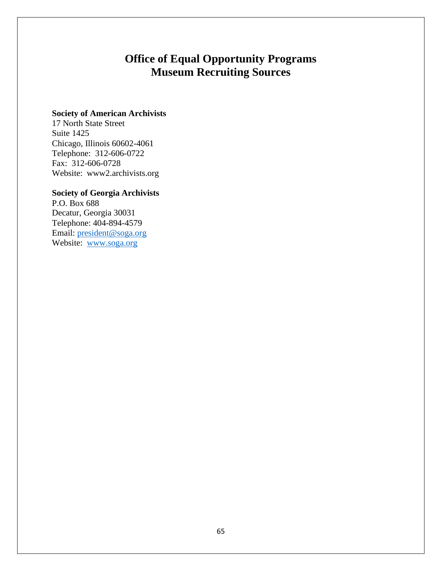# **Office of Equal Opportunity Programs Museum Recruiting Sources**

## **Society of American Archivists**

17 North State Street Suite 1425 Chicago, Illinois 60602-4061 Telephone: 312-606-0722 Fax: 312-606-0728 Website: www2.archivists.org

## **Society of Georgia Archivists**

P.O. Box 688 Decatur, Georgia 30031 Telephone: 404-894-4579 Email: [president@soga.org](mailto:president@soga.org) Website: [www.soga.org](http://www.soga.org/)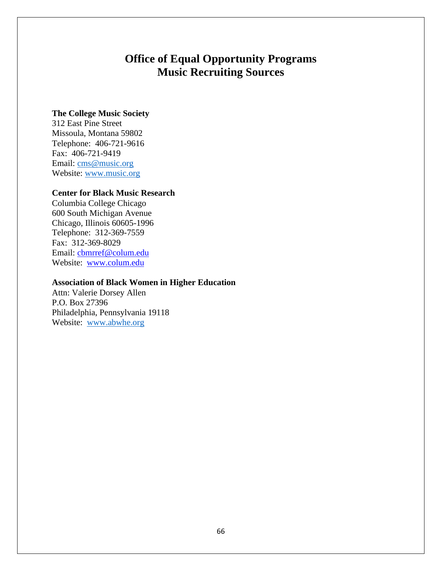# **Office of Equal Opportunity Programs Music Recruiting Sources**

## **The College Music Society**

312 East Pine Street Missoula, Montana 59802 Telephone: 406-721-9616 Fax: 406-721-9419 Email: [cms@music.org](mailto:cms@music.org) Website: [www.music.org](http://www.music.org/)

### **Center for Black Music Research**

Columbia College Chicago 600 South Michigan Avenue Chicago, Illinois 60605-1996 Telephone: 312-369-7559 Fax: 312-369-8029 Email: [cbmrref@colum.edu](mailto:cbmrref@colum.edu) Website: [www.colum.edu](http://www.colum.edu/)

## **Association of Black Women in Higher Education**

Attn: Valerie Dorsey Allen P.O. Box 27396 Philadelphia, Pennsylvania 19118 Website: [www.abwhe.org](http://www.abwhe.org/)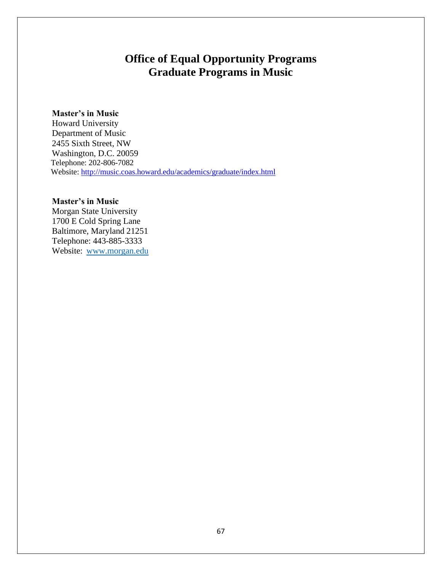# **Office of Equal Opportunity Programs Graduate Programs in Music**

## **Master's in Music**

Howard University Department of Music 2455 Sixth Street, NW Washington, D.C. 20059 Telephone: 202-806-7082 Website:<http://music.coas.howard.edu/academics/graduate/index.html>

## **Master's in Music**

Morgan State University 1700 E Cold Spring Lane Baltimore, Maryland 21251 Telephone: 443-885-3333 Website: [www.morgan.edu](http://www.morgan.edu/)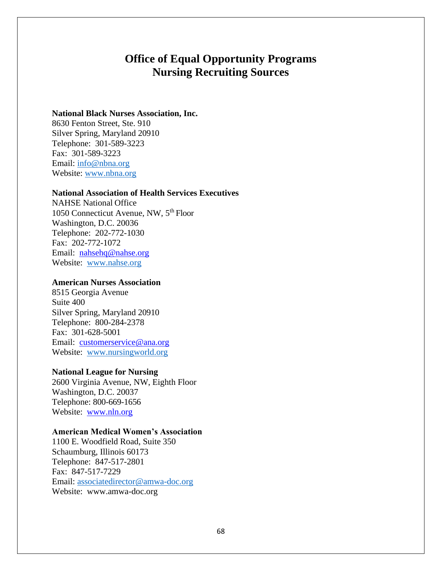## **Office of Equal Opportunity Programs Nursing Recruiting Sources**

### **National Black Nurses Association, Inc.**

8630 Fenton Street, Ste. 910 Silver Spring, Maryland 20910 Telephone: 301-589-3223 Fax: 301-589-3223 Email: [info@nbna.org](mailto:info@nbna.org) Website: [www.nbna.org](http://www.nbna.org/)

#### **National Association of Health Services Executives**

NAHSE National Office 1050 Connecticut Avenue, NW, 5<sup>th</sup> Floor Washington, D.C. 20036 Telephone: 202-772-1030 Fax: 202-772-1072 Email: [nahsehq@nahse.org](mailto:nahsehq@nahse.org) Website: [www.nahse.org](http://www.nahse.org/)

## **American Nurses Association**

8515 Georgia Avenue Suite 400 Silver Spring, Maryland 20910 Telephone: 800-284-2378 Fax: 301-628-5001 Email: [customerservice@ana.org](mailto:customerservice@ana.org) Website: [www.nursingworld.org](http://www.nursingworld.org/)

### **National League for Nursing**

2600 Virginia Avenue, NW, Eighth Floor Washington, D.C. 20037 Telephone: 800-669-1656 Website: [www.nln.org](http://www.nln.org/)

### **American Medical Women's Association**

1100 E. Woodfield Road, Suite 350 Schaumburg, Illinois 60173 Telephone: 847-517-2801 Fax: 847-517-7229 Email: [associatedirector@amwa-doc.org](mailto:associatedirector@amwa-doc.org) Website: [www.amwa-doc.org](http://www.amwa-doc.org/)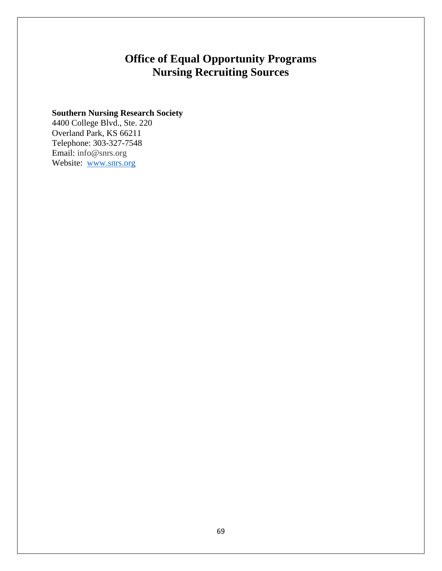# **Office of Equal Opportunity Programs Nursing Recruiting Sources**

## **Southern Nursing Research Society**

4400 College Blvd., Ste. 220 Overland Park, KS 66211 Telephone: 303-327-7548 Email: info@snrs.org Website: [www.snrs.org](http://www.snrs.org/)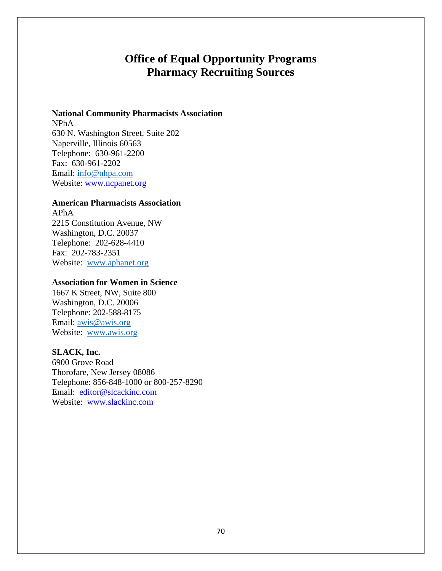# **Office of Equal Opportunity Programs Pharmacy Recruiting Sources**

## **National Community Pharmacists Association**

NPhA 630 N. Washington Street, Suite 202 Naperville, Illinois 60563 Telephone: 630-961-2200 Fax: 630-961-2202 Email: [info@nhpa.com](mailto:info@nhpa.com) Website: [www.ncpanet.org](http://www.ncpanet.org/)

## **American Pharmacists Association**

APhA 2215 Constitution Avenue, NW Washington, D.C. 20037 Telephone: 202-628-4410 Fax: 202-783-2351 Website: [www.aphanet.org](http://www.aphanet.org/)

## **Association for Women in Science**

1667 K Street, NW, Suite 800 Washington, D.C. 20006 Telephone: 202-588-8175 Email: [awis@awis.org](mailto:awis@awis.org) Website: [www.awis.org](http://www.awis.org/)

## **SLACK, Inc.**

6900 Grove Road Thorofare, New Jersey 08086 Telephone: 856-848-1000 or 800-257-8290 Email: [editor@slcackinc.com](mailto:editor@slcackinc.com) Website: [www.slackinc.com](http://www.slackinc.com/)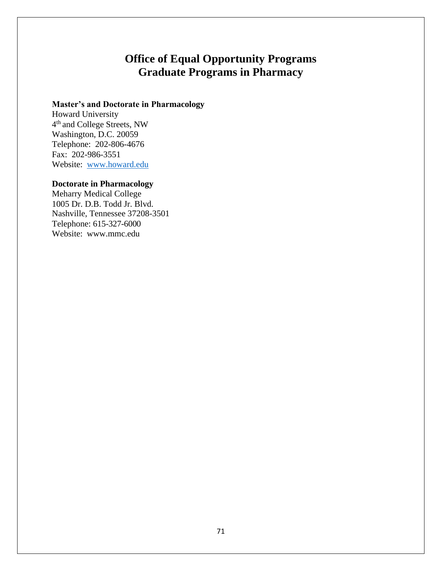# **Office of Equal Opportunity Programs Graduate Programs in Pharmacy**

## **Master's and Doctorate in Pharmacology**

Howard University 4<sup>th</sup> and College Streets, NW Washington, D.C. 20059 Telephone: 202-806-4676 Fax: 202-986-3551 Website: [www.howard.edu](http://www.howard.edu/)

## **Doctorate in Pharmacology**

Meharry Medical College 1005 Dr. D.B. Todd Jr. Blvd. Nashville, Tennessee 37208-3501 Telephone: 615-327-6000 Website: [www.mmc.edu](http://www.mmc.edu/)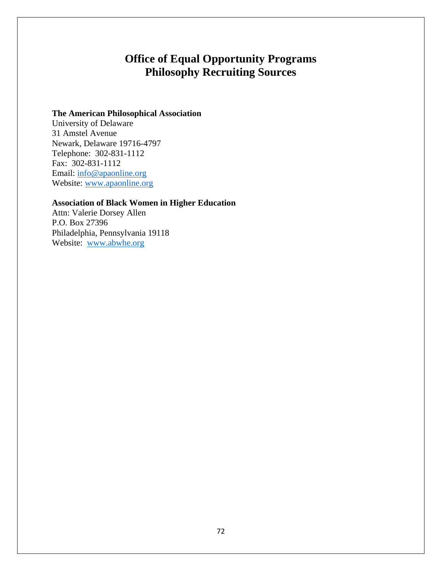# **Office of Equal Opportunity Programs Philosophy Recruiting Sources**

## **The American Philosophical Association**

University of Delaware 31 Amstel Avenue Newark, Delaware 19716-4797 Telephone: 302-831-1112 Fax: 302-831-1112 Email: [info@apaonline.org](mailto:info@apaonline.org) Website: [www.apaonline.org](http://www.apaonline.org/)

## **Association of Black Women in Higher Education**

Attn: Valerie Dorsey Allen P.O. Box 27396 Philadelphia, Pennsylvania 19118 Website: [www.abwhe.org](http://www.abwhe.org/)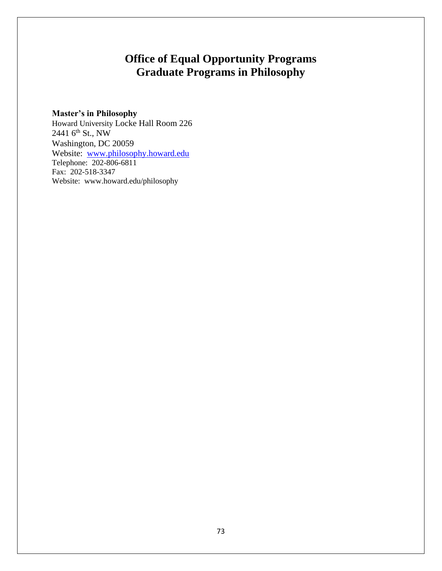# **Office of Equal Opportunity Programs Graduate Programs in Philosophy**

# **Master's in Philosophy**

Howard University Locke Hall Room 226 2441 6<sup>th</sup> St., NW Washington, DC 20059 Website: [www.philosophy.howard.edu](http://www.philosophy.howard.edu/) Telephone: 202-806-6811 Fax: 202-518-3347 Website: [www.howard.edu/philosophy](http://www.howard.edu/philosophy)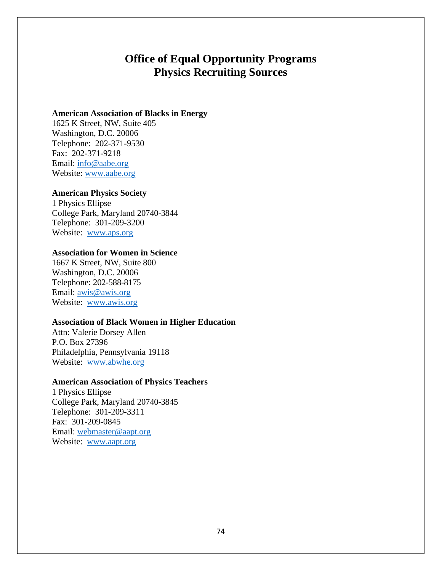# **Office of Equal Opportunity Programs Physics Recruiting Sources**

### **American Association of Blacks in Energy**

1625 K Street, NW, Suite 405 Washington, D.C. 20006 Telephone: 202-371-9530 Fax: 202-371-9218 Email: [info@aabe.org](mailto:info@aabe.org) Website: [www.aabe.org](http://www.aabe.org/)

### **American Physics Society**

1 Physics Ellipse College Park, Maryland 20740-3844 Telephone: 301-209-3200 Website: [www.aps.org](http://www.aps.org/)

### **Association for Women in Science**

1667 K Street, NW, Suite 800 Washington, D.C. 20006 Telephone: 202-588-8175 Email: [awis@awis.org](mailto:awis@awis.org) Website: [www.awis.org](http://www.awis.org/)

### **Association of Black Women in Higher Education**

Attn: Valerie Dorsey Allen P.O. Box 27396 Philadelphia, Pennsylvania 19118 Website: [www.abwhe.org](http://www.abwhe.org/)

### **American Association of Physics Teachers**

1 Physics Ellipse College Park, Maryland 20740-3845 Telephone: 301-209-3311 Fax: 301-209-0845 Email: [webmaster@aapt.org](mailto:webmaster@aapt.org) Website: [www.aapt.org](http://www.aapt.org/)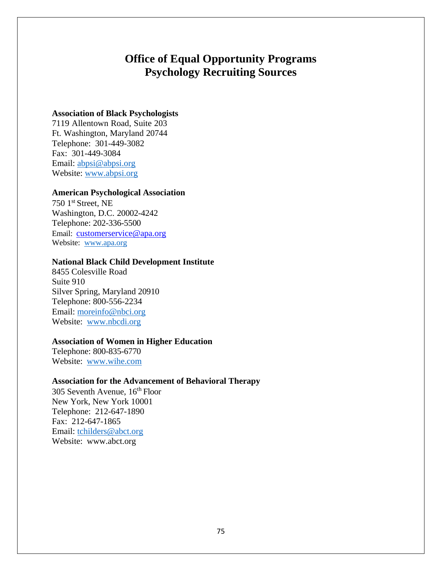# **Office of Equal Opportunity Programs Psychology Recruiting Sources**

### **Association of Black Psychologists**

7119 Allentown Road, Suite 203 Ft. Washington, Maryland 20744 Telephone: 301-449-3082 Fax: 301-449-3084 Email: [abpsi@abpsi.org](mailto:abpsi@abpsi.org) Website: [www.abpsi.org](http://www.abpsi.org/)

### **American Psychological Association**

750 1st Street, NE Washington, D.C. 20002-4242 Telephone: 202-336-5500 Email: [customerservice@apa.org](mailto:customerservice@apa.org) Website: [www.apa.org](http://www.apa.org/)

## **National Black Child Development Institute**

8455 Colesville Road Suite 910 Silver Spring, Maryland 20910 Telephone: 800-556-2234 Email: [moreinfo@nbci.org](mailto:moreinfo@nbci.org) Website: [www.nbcdi.org](http://www.nbcdi.org/)

## **Association of Women in Higher Education**

Telephone: 800-835-6770 Website: [www.wihe.com](http://www.wihe.com/)

# **Association for the Advancement of Behavioral Therapy**

 $305$  Seventh Avenue,  $16<sup>th</sup>$  Floor New York, New York 10001 Telephone: 212-647-1890 Fax: 212-647-1865 Email: [tchilders@abct.org](mailto:tchilders@abct.org) Website: [www.abct.org](http://www.abct.org/)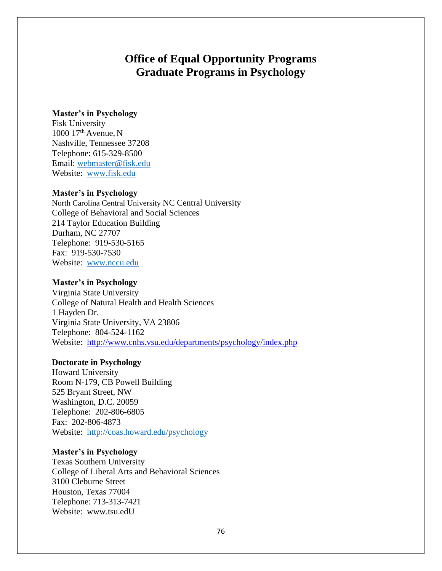# **Office of Equal Opportunity Programs Graduate Programs in Psychology**

### **Master's in Psychology**

Fisk University 1000  $17<sup>th</sup>$  Avenue, N Nashville, Tennessee 37208 Telephone: 615-329-8500 Email: [webmaster@fisk.edu](mailto:webmaster@fisk.edu) Website: [www.fisk.edu](http://www.fisk.edu/)

#### **Master's in Psychology**

North Carolina Central University NC Central University College of Behavioral and Social Sciences 214 Taylor Education Building Durham, NC 27707 Telephone: 919-530-5165 Fax: 919-530-7530 Website: [www.nccu.edu](http://www.nccu.edu/)

### **Master's in Psychology**

Virginia State University College of Natural Health and Health Sciences 1 Hayden Dr. Virginia State University, VA 23806 Telephone: 804-524-1162 Website: <http://www.cnhs.vsu.edu/departments/psychology/index.php>

### **Doctorate in Psychology**

Howard University Room N-179, CB Powell Building 525 Bryant Street, NW Washington, D.C. 20059 Telephone: 202-806-6805 Fax: 202-806-4873 Website: <http://coas.howard.edu/psychology>

### **Master's in Psychology**

Texas Southern University College of Liberal Arts and Behavioral Sciences 3100 Cleburne Street Houston, Texas 77004 Telephone: 713-313-7421 Website: [www.tsu.edU](http://www.tsu.edu/)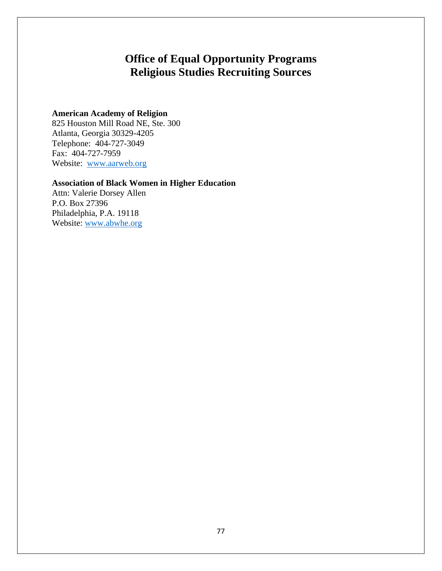# **Office of Equal Opportunity Programs Religious Studies Recruiting Sources**

# **American Academy of Religion**

825 Houston Mill Road NE, Ste. 300 Atlanta, Georgia 30329-4205 Telephone: 404-727-3049 Fax: 404-727-7959 Website: [www.aarweb.org](http://www.aarweb.org/)

# **Association of Black Women in Higher Education**

Attn: Valerie Dorsey Allen P.O. Box 27396 Philadelphia, P.A. 19118 Website: [www.abwhe.org](http://www.abwhe.org/)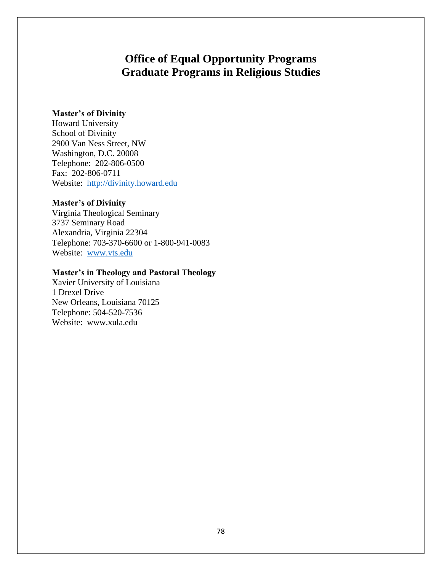# **Office of Equal Opportunity Programs Graduate Programs in Religious Studies**

### **Master's of Divinity**

Howard University School of Divinity 2900 Van Ness Street, NW Washington, D.C. 20008 Telephone: 202-806-0500 Fax: 202-806-0711 Website: [http://divinity.howard.edu](http://divinity.howard.edu/)

### **Master's of Divinity**

Virginia Theological Seminary 3737 Seminary Road Alexandria, Virginia 22304 Telephone: 703-370-6600 or 1-800-941-0083 Website: [www.vts.edu](http://www.vts.edu/)

### **Master's in Theology and Pastoral Theology**

Xavier University of Louisiana 1 Drexel Drive New Orleans, Louisiana 70125 Telephone: 504-520-7536 Website: [www.xula.edu](http://www.xula.edu/)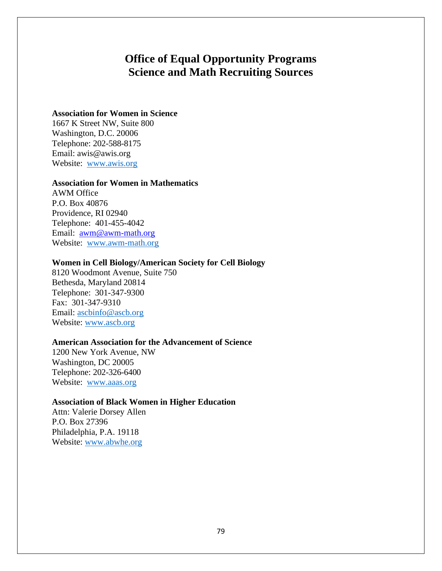# **Office of Equal Opportunity Programs Science and Math Recruiting Sources**

## **Association for Women in Science**

1667 K Street NW, Suite 800 Washington, D.C. 20006 Telephone: 202-588-8175 Em[ail: awis@awis.org](mailto:awis@awis.org) Website: [www.awis.org](http://www.awis.org/)

### **Association for Women in Mathematics**

AWM Office P.O. Box 40876 Providence, RI 02940 Telephone: 401-455-4042 Email: [awm@awm-math.org](mailto:awm@awm-math.org) Website: [www.awm-math.org](http://www.awm-math.org/)

### **Women in Cell Biology/American Society for Cell Biology**

8120 Woodmont Avenue, Suite 750 Bethesda, Maryland 20814 Telephone: 301-347-9300 Fax: 301-347-9310 Email: [ascbinfo@ascb.org](mailto:ascbinfo@ascb.org) Website: [www.ascb.org](http://www.ascb.org/)

### **American Association for the Advancement of Science**

1200 New York Avenue, NW Washington, DC 20005 Telephone: 202-326-6400 Website: [www.aaas.org](http://www.aaas.org/)

### **Association of Black Women in Higher Education**

Attn: Valerie Dorsey Allen P.O. Box 27396 Philadelphia, P.A. 19118 Website: [www.abwhe.org](http://www.abwhe.org/)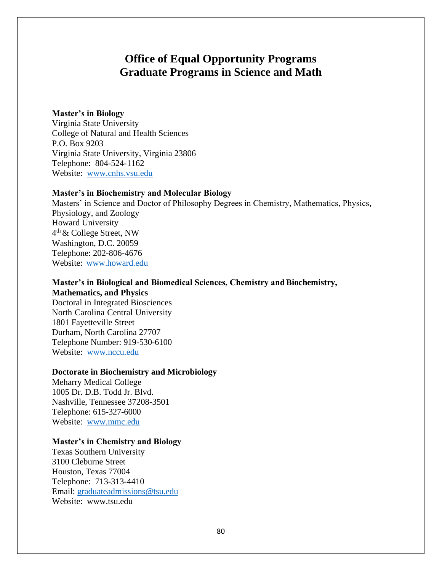# **Office of Equal Opportunity Programs Graduate Programs in Science and Math**

### **Master's in Biology**

Virginia State University College of Natural and Health Sciences P.O. Box 9203 Virginia State University, Virginia 23806 Telephone: 804-524-1162 Website: [www.cnhs.vsu.edu](http://www.cnhs.vsu.edu/)

### **Master's in Biochemistry and Molecular Biology**

Masters' in Science and Doctor of Philosophy Degrees in Chemistry, Mathematics, Physics, Physiology, and Zoology Howard University 4 th & College Street, NW Washington, D.C. 20059 Telephone: 202-806-4676 Website: [www.howard.edu](http://www.howard.edu/)

## **Master's in Biological and Biomedical Sciences, Chemistry and Biochemistry, Mathematics, and Physics**

Doctoral in Integrated Biosciences North Carolina Central University 1801 Fayetteville Street Durham, North Carolina 27707 Telephone Number: 919-530-6100 Website: [www.nccu.edu](http://www.nccu.edu/)

#### **Doctorate in Biochemistry and Microbiology**

Meharry Medical College 1005 Dr. D.B. Todd Jr. Blvd. Nashville, Tennessee 37208-3501 Telephone: 615-327-6000 Website: [www.mmc.edu](http://www.mmc.edu/)

### **Master's in Chemistry and Biology**

Texas Southern University 3100 Cleburne Street Houston, Texas 77004 Telephone: 713-313-4410 Email: [graduateadmissions@tsu.edu](mailto:graduateadmissions@tsu.edu) Website: [www.tsu.edu](http://www.tsu.edu/)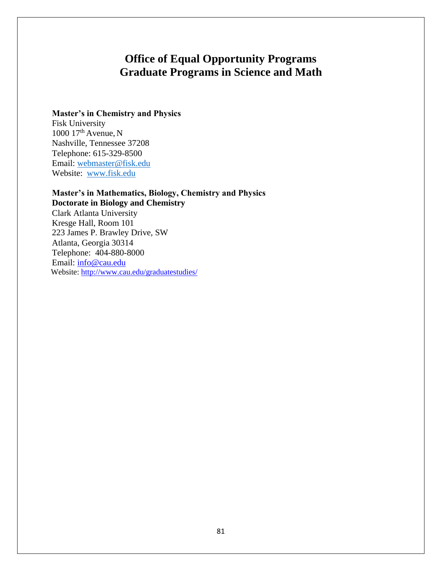# **Office of Equal Opportunity Programs Graduate Programs in Science and Math**

## **Master's in Chemistry and Physics**

Fisk University  $1000 \frac{17^{\text{th}}}{\text{Average N}}$ Nashville, Tennessee 37208 Telephone: 615-329-8500 Email: [webmaster@fisk.edu](mailto:webmaster@fisk.edu) Website: [www.fisk.edu](http://www.fisk.edu/)

**Master's in Mathematics, Biology, Chemistry and Physics Doctorate in Biology and Chemistry** Clark Atlanta University Kresge Hall, Room 101 223 James P. Brawley Drive, SW Atlanta, Georgia 30314 Telephone: 404-880-8000 Email: [info@cau.edu](mailto:info@cau.edu) Website:<http://www.cau.edu/graduatestudies/>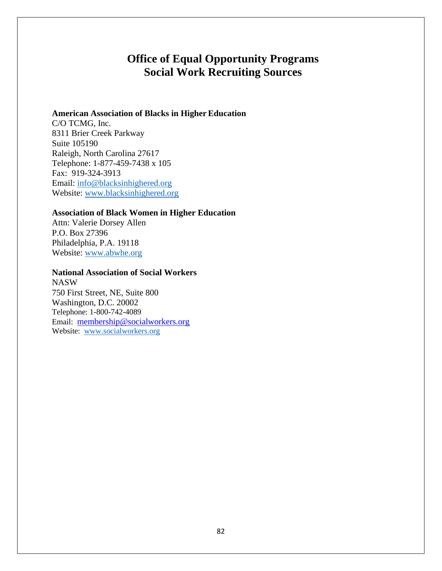# **Office of Equal Opportunity Programs Social Work Recruiting Sources**

#### **American Association of Blacks in Higher Education**

C/O TCMG, Inc. 8311 Brier Creek Parkway Suite 105190 Raleigh, North Carolina 27617 Telephone: 1-877-459-7438 x 105 Fax: 919-324-3913 Email: [info@blacksinhighered.org](mailto:info@blacksinhighered.org) Website: [www.blacksinhighered.org](http://www.blacksinhighered.org/)

### **Association of Black Women in Higher Education**

Attn: Valerie Dorsey Allen P.O. Box 27396 Philadelphia, P.A. 19118 Website: [www.abwhe.org](http://www.abwhe.org/)

### **National Association of Social Workers**

NASW 750 First Street, NE, Suite 800 Washington, D.C. 20002 Telephone: 1-800-742-4089 Email: [membership@socialworkers.org](mailto:membership@socialworkers.org) Website: [www.socialworkers.org](http://www.socialworkers.org/)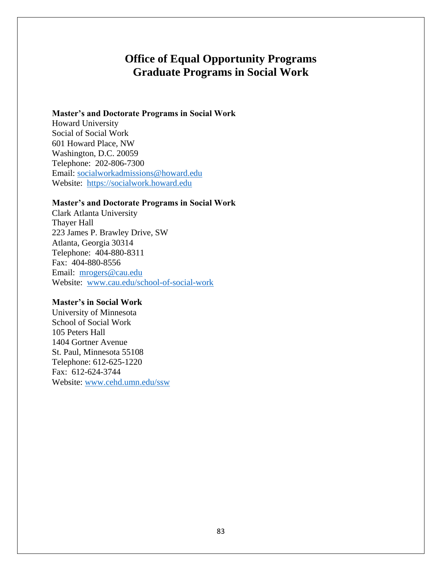# **Office of Equal Opportunity Programs Graduate Programs in Social Work**

#### **Master's and Doctorate Programs in Social Work**

Howard University Social of Social Work 601 Howard Place, NW Washington, D.C. 20059 Telephone: 202-806-7300 Email: [socialworkadmissions@howard.edu](mailto:socialworkadmissions@howard.edu) Website: [https://socialwork.howard.edu](https://socialwork.howard.edu/)

### **Master's and Doctorate Programs in Social Work**

Clark Atlanta University Thayer Hall 223 James P. Brawley Drive, SW Atlanta, Georgia 30314 Telephone: 404-880-8311 Fax: 404-880-8556 Email: [mrogers@cau.edu](mailto:mrogers@cau.edu) Website: [www.cau.edu/school-of-social-work](http://www.cau.edu/school-of-social-work)

#### **Master's in Social Work**

University of Minnesota School of Social Work 105 Peters Hall 1404 Gortner Avenue St. Paul, Minnesota 55108 Telephone: 612-625-1220 Fax: 612-624-3744 Website: [www.cehd.umn.edu/ssw](http://www.cehd.umn.edu/ssw)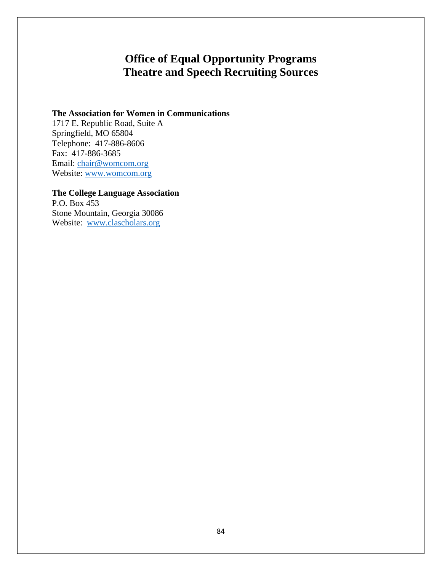# **Office of Equal Opportunity Programs Theatre and Speech Recruiting Sources**

### **The Association for Women in Communications**

1717 E. Republic Road, Suite A Springfield, MO 65804 Telephone: 417-886-8606 Fax: 417-886-3685 Email: [chair@womcom.org](mailto:chair@womcom.org) Website: [www.womcom.org](http://www.womcom.org/)

# **The College Language Association**

P.O. Box 453 Stone Mountain, Georgia 30086 Website: [www.clascholars.org](http://www.clascholars.org/)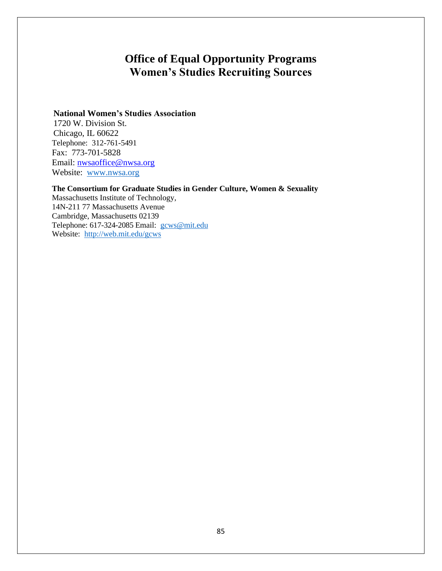# **Office of Equal Opportunity Programs Women's Studies Recruiting Sources**

### **National Women's Studies Association**

1720 W. Division St. Chicago, IL 60622 Telephone: 312-761-5491 Fax: 773-701-5828 Email: [nwsaoffice@nwsa.org](mailto:nwsaoffice@nwsa.org) Website: [www.nwsa.org](http://www.nwsa.org/)

#### **The Consortium for Graduate Studies in Gender Culture, Women & Sexuality**

Massachusetts Institute of Technology, 14N-211 77 Massachusetts Avenue Cambridge, Massachusetts 02139 Telephone: 617-324-2085 Email: [gcws@mit.edu](mailto:gcws@mit.edu) Website: <http://web.mit.edu/gcws>